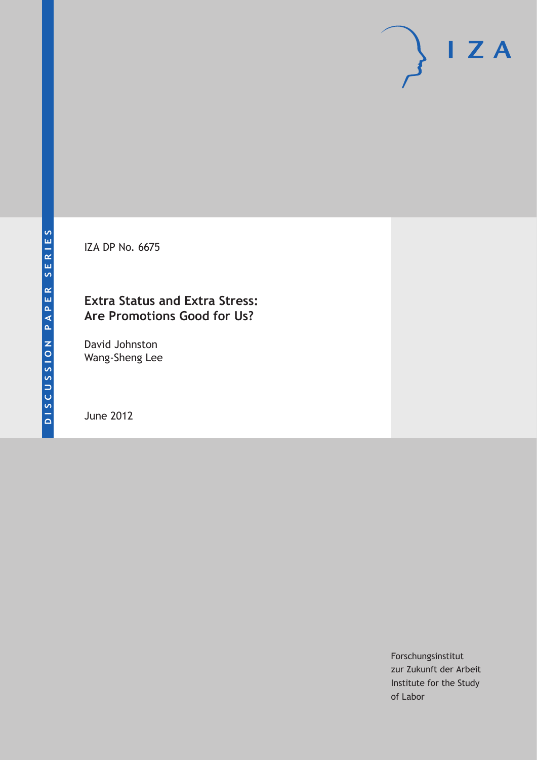IZA DP No. 6675

# **Extra Status and Extra Stress: Are Promotions Good for Us?**

David Johnston Wang-Sheng Lee

June 2012

Forschungsinstitut zur Zukunft der Arbeit Institute for the Study of Labor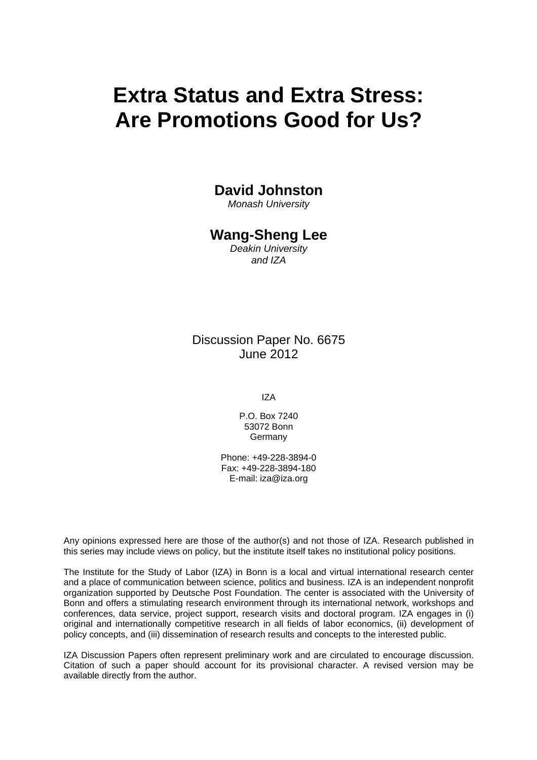# **Extra Status and Extra Stress: Are Promotions Good for Us?**

### **David Johnston**

*Monash University* 

### **Wang-Sheng Lee**

*Deakin University and IZA* 

Discussion Paper No. 6675 June 2012

IZA

P.O. Box 7240 53072 Bonn Germany

Phone: +49-228-3894-0 Fax: +49-228-3894-180 E-mail: [iza@iza.org](mailto:iza@iza.org)

Any opinions expressed here are those of the author(s) and not those of IZA. Research published in this series may include views on policy, but the institute itself takes no institutional policy positions.

The Institute for the Study of Labor (IZA) in Bonn is a local and virtual international research center and a place of communication between science, politics and business. IZA is an independent nonprofit organization supported by Deutsche Post Foundation. The center is associated with the University of Bonn and offers a stimulating research environment through its international network, workshops and conferences, data service, project support, research visits and doctoral program. IZA engages in (i) original and internationally competitive research in all fields of labor economics, (ii) development of policy concepts, and (iii) dissemination of research results and concepts to the interested public.

IZA Discussion Papers often represent preliminary work and are circulated to encourage discussion. Citation of such a paper should account for its provisional character. A revised version may be available directly from the author.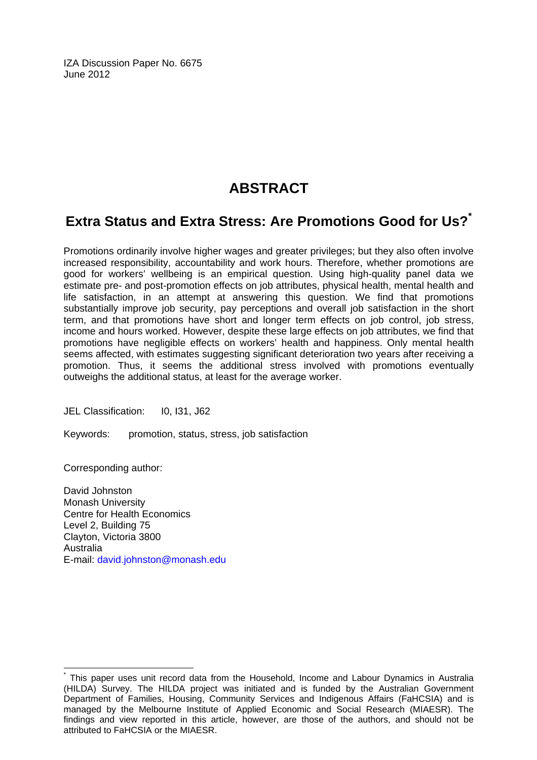IZA Discussion Paper No. 6675 June 2012

# **ABSTRACT**

# **Extra Status and Extra Stress: Are Promotions Good for Us?[\\*](#page-2-0)**

Promotions ordinarily involve higher wages and greater privileges; but they also often involve increased responsibility, accountability and work hours. Therefore, whether promotions are good for workers' wellbeing is an empirical question. Using high-quality panel data we estimate pre- and post-promotion effects on job attributes, physical health, mental health and life satisfaction, in an attempt at answering this question. We find that promotions substantially improve job security, pay perceptions and overall job satisfaction in the short term, and that promotions have short and longer term effects on job control, job stress, income and hours worked. However, despite these large effects on job attributes, we find that promotions have negligible effects on workers' health and happiness. Only mental health seems affected, with estimates suggesting significant deterioration two years after receiving a promotion. Thus, it seems the additional stress involved with promotions eventually outweighs the additional status, at least for the average worker.

JEL Classification: I0, I31, J62

Keywords: promotion, status, stress, job satisfaction

Corresponding author:

 $\overline{1}$ 

David Johnston Monash University Centre for Health Economics Level 2, Building 75 Clayton, Victoria 3800 Australia E-mail: [david.johnston@monash.edu](mailto:david.johnston@monash.edu)

<span id="page-2-0"></span><sup>\*</sup> This paper uses unit record data from the Household, Income and Labour Dynamics in Australia (HILDA) Survey. The HILDA project was initiated and is funded by the Australian Government Department of Families, Housing, Community Services and Indigenous Affairs (FaHCSIA) and is managed by the Melbourne Institute of Applied Economic and Social Research (MIAESR). The findings and view reported in this article, however, are those of the authors, and should not be attributed to FaHCSIA or the MIAESR.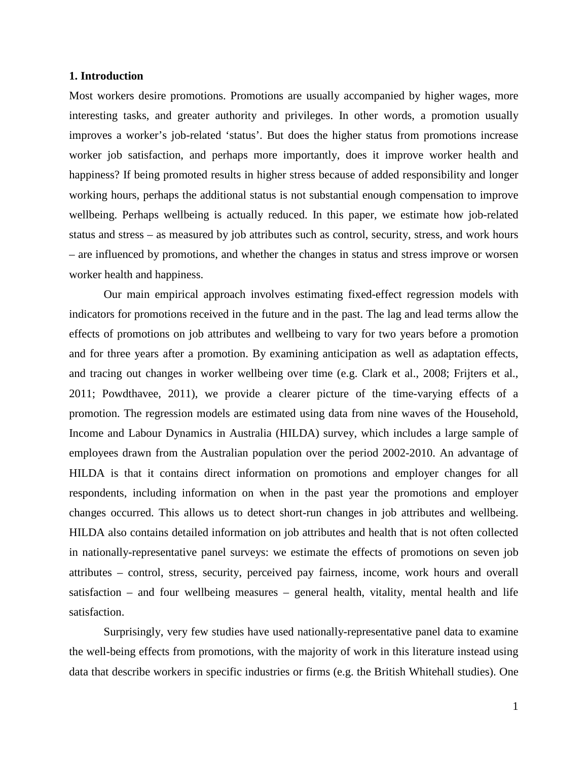#### **1. Introduction**

Most workers desire promotions. Promotions are usually accompanied by higher wages, more interesting tasks, and greater authority and privileges. In other words, a promotion usually improves a worker's job-related 'status'. But does the higher status from promotions increase worker job satisfaction, and perhaps more importantly, does it improve worker health and happiness? If being promoted results in higher stress because of added responsibility and longer working hours, perhaps the additional status is not substantial enough compensation to improve wellbeing. Perhaps wellbeing is actually reduced. In this paper, we estimate how job-related status and stress – as measured by job attributes such as control, security, stress, and work hours – are influenced by promotions, and whether the changes in status and stress improve or worsen worker health and happiness.

Our main empirical approach involves estimating fixed-effect regression models with indicators for promotions received in the future and in the past. The lag and lead terms allow the effects of promotions on job attributes and wellbeing to vary for two years before a promotion and for three years after a promotion. By examining anticipation as well as adaptation effects, and tracing out changes in worker wellbeing over time (e.g. Clark et al., 2008; Frijters et al., 2011; Powdthavee, 2011), we provide a clearer picture of the time-varying effects of a promotion. The regression models are estimated using data from nine waves of the Household, Income and Labour Dynamics in Australia (HILDA) survey, which includes a large sample of employees drawn from the Australian population over the period 2002-2010. An advantage of HILDA is that it contains direct information on promotions and employer changes for all respondents, including information on when in the past year the promotions and employer changes occurred. This allows us to detect short-run changes in job attributes and wellbeing. HILDA also contains detailed information on job attributes and health that is not often collected in nationally-representative panel surveys: we estimate the effects of promotions on seven job attributes – control, stress, security, perceived pay fairness, income, work hours and overall satisfaction – and four wellbeing measures – general health, vitality, mental health and life satisfaction.

Surprisingly, very few studies have used nationally-representative panel data to examine the well-being effects from promotions, with the majority of work in this literature instead using data that describe workers in specific industries or firms (e.g. the British Whitehall studies). One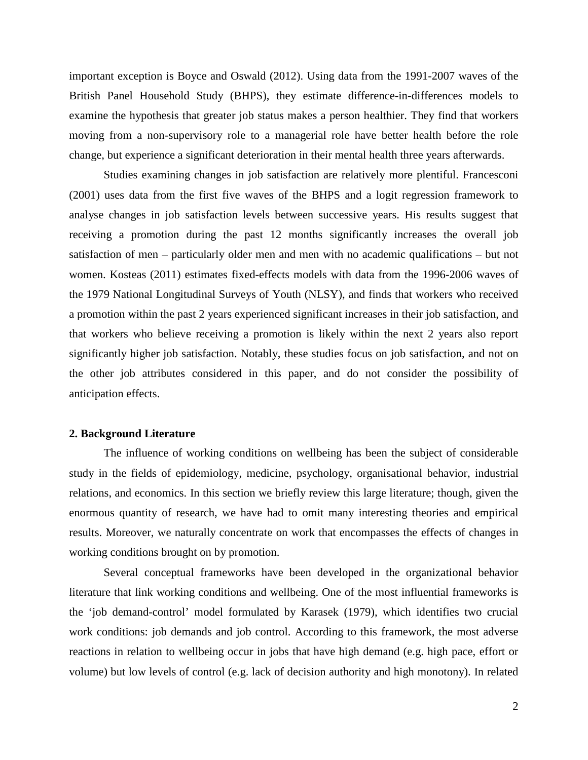important exception is Boyce and Oswald (2012). Using data from the 1991-2007 waves of the British Panel Household Study (BHPS), they estimate difference-in-differences models to examine the hypothesis that greater job status makes a person healthier. They find that workers moving from a non-supervisory role to a managerial role have better health before the role change, but experience a significant deterioration in their mental health three years afterwards.

Studies examining changes in job satisfaction are relatively more plentiful. Francesconi (2001) uses data from the first five waves of the BHPS and a logit regression framework to analyse changes in job satisfaction levels between successive years. His results suggest that receiving a promotion during the past 12 months significantly increases the overall job satisfaction of men – particularly older men and men with no academic qualifications – but not women. Kosteas (2011) estimates fixed-effects models with data from the 1996-2006 waves of the 1979 National Longitudinal Surveys of Youth (NLSY), and finds that workers who received a promotion within the past 2 years experienced significant increases in their job satisfaction, and that workers who believe receiving a promotion is likely within the next 2 years also report significantly higher job satisfaction. Notably, these studies focus on job satisfaction, and not on the other job attributes considered in this paper, and do not consider the possibility of anticipation effects.

#### **2. Background Literature**

The influence of working conditions on wellbeing has been the subject of considerable study in the fields of epidemiology, medicine, psychology, organisational behavior, industrial relations, and economics. In this section we briefly review this large literature; though, given the enormous quantity of research, we have had to omit many interesting theories and empirical results. Moreover, we naturally concentrate on work that encompasses the effects of changes in working conditions brought on by promotion.

Several conceptual frameworks have been developed in the organizational behavior literature that link working conditions and wellbeing. One of the most influential frameworks is the 'job demand-control' model formulated by Karasek (1979), which identifies two crucial work conditions: job demands and job control. According to this framework, the most adverse reactions in relation to wellbeing occur in jobs that have high demand (e.g. high pace, effort or volume) but low levels of control (e.g. lack of decision authority and high monotony). In related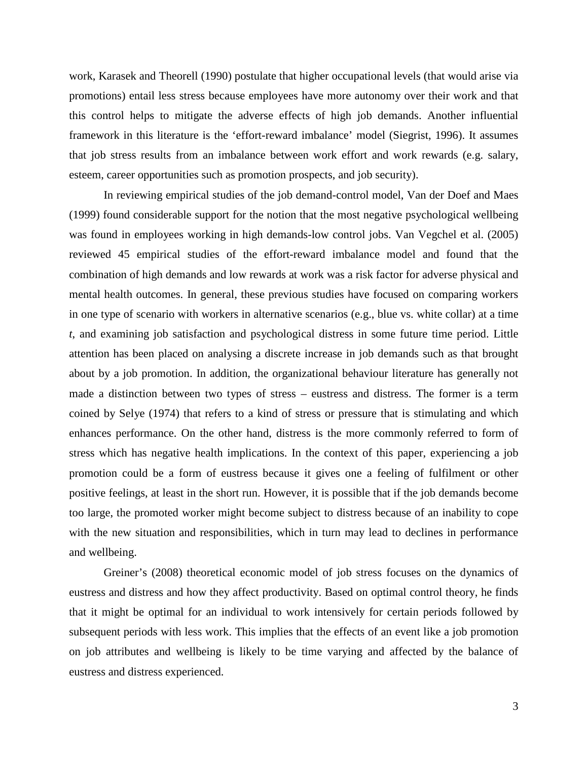work, Karasek and Theorell (1990) postulate that higher occupational levels (that would arise via promotions) entail less stress because employees have more autonomy over their work and that this control helps to mitigate the adverse effects of high job demands. Another influential framework in this literature is the 'effort-reward imbalance' model (Siegrist, 1996). It assumes that job stress results from an imbalance between work effort and work rewards (e.g. salary, esteem, career opportunities such as promotion prospects, and job security).

In reviewing empirical studies of the job demand-control model, Van der Doef and Maes (1999) found considerable support for the notion that the most negative psychological wellbeing was found in employees working in high demands-low control jobs. Van Vegchel et al. (2005) reviewed 45 empirical studies of the effort-reward imbalance model and found that the combination of high demands and low rewards at work was a risk factor for adverse physical and mental health outcomes. In general, these previous studies have focused on comparing workers in one type of scenario with workers in alternative scenarios (e.g., blue vs. white collar) at a time *t*, and examining job satisfaction and psychological distress in some future time period. Little attention has been placed on analysing a discrete increase in job demands such as that brought about by a job promotion. In addition, the organizational behaviour literature has generally not made a distinction between two types of stress – eustress and distress. The former is a term coined by Selye (1974) that refers to a kind of stress or pressure that is stimulating and which enhances performance. On the other hand, distress is the more commonly referred to form of stress which has negative health implications. In the context of this paper, experiencing a job promotion could be a form of eustress because it gives one a feeling of fulfilment or other positive feelings, at least in the short run. However, it is possible that if the job demands become too large, the promoted worker might become subject to distress because of an inability to cope with the new situation and responsibilities, which in turn may lead to declines in performance and wellbeing.

Greiner's (2008) theoretical economic model of job stress focuses on the dynamics of eustress and distress and how they affect productivity. Based on optimal control theory, he finds that it might be optimal for an individual to work intensively for certain periods followed by subsequent periods with less work. This implies that the effects of an event like a job promotion on job attributes and wellbeing is likely to be time varying and affected by the balance of eustress and distress experienced.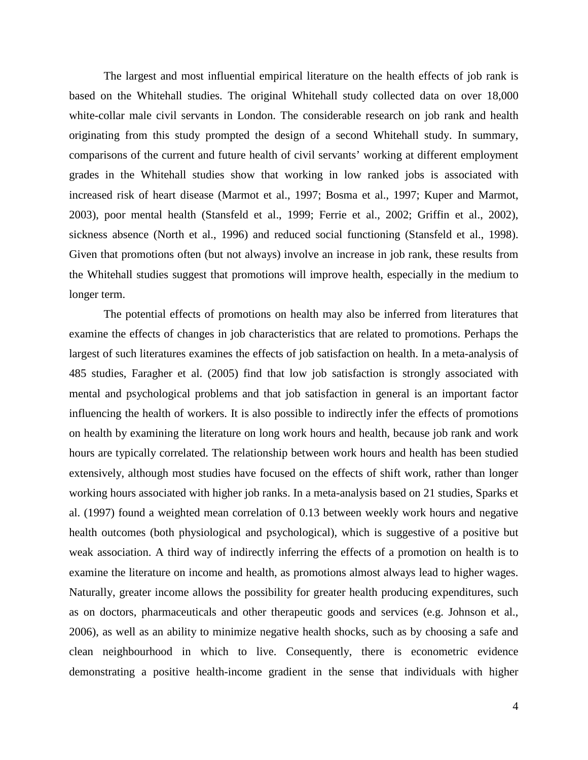The largest and most influential empirical literature on the health effects of job rank is based on the Whitehall studies. The original Whitehall study collected data on over 18,000 white-collar male civil servants in London. The considerable research on job rank and health originating from this study prompted the design of a second Whitehall study. In summary, comparisons of the current and future health of civil servants' working at different employment grades in the Whitehall studies show that working in low ranked jobs is associated with increased risk of heart disease (Marmot et al., 1997; Bosma et al., 1997; Kuper and Marmot, 2003), poor mental health (Stansfeld et al., 1999; Ferrie et al., 2002; Griffin et al., 2002), sickness absence (North et al., 1996) and reduced social functioning (Stansfeld et al., 1998). Given that promotions often (but not always) involve an increase in job rank, these results from the Whitehall studies suggest that promotions will improve health, especially in the medium to longer term.

The potential effects of promotions on health may also be inferred from literatures that examine the effects of changes in job characteristics that are related to promotions. Perhaps the largest of such literatures examines the effects of job satisfaction on health. In a meta-analysis of 485 studies, Faragher et al. (2005) find that low job satisfaction is strongly associated with mental and psychological problems and that job satisfaction in general is an important factor influencing the health of workers. It is also possible to indirectly infer the effects of promotions on health by examining the literature on long work hours and health, because job rank and work hours are typically correlated. The relationship between work hours and health has been studied extensively, although most studies have focused on the effects of shift work, rather than longer working hours associated with higher job ranks. In a meta-analysis based on 21 studies, Sparks et al. (1997) found a weighted mean correlation of 0.13 between weekly work hours and negative health outcomes (both physiological and psychological), which is suggestive of a positive but weak association. A third way of indirectly inferring the effects of a promotion on health is to examine the literature on income and health, as promotions almost always lead to higher wages. Naturally, greater income allows the possibility for greater health producing expenditures, such as on doctors, pharmaceuticals and other therapeutic goods and services (e.g. Johnson et al., 2006), as well as an ability to minimize negative health shocks, such as by choosing a safe and clean neighbourhood in which to live. Consequently, there is econometric evidence demonstrating a positive health-income gradient in the sense that individuals with higher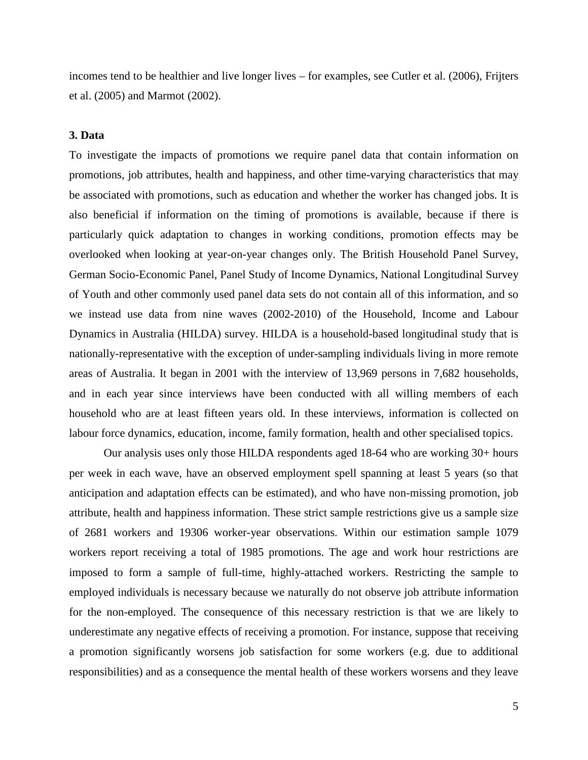incomes tend to be healthier and live longer lives – for examples, see Cutler et al. (2006), Frijters et al. (2005) and Marmot (2002).

#### **3. Data**

To investigate the impacts of promotions we require panel data that contain information on promotions, job attributes, health and happiness, and other time-varying characteristics that may be associated with promotions, such as education and whether the worker has changed jobs. It is also beneficial if information on the timing of promotions is available, because if there is particularly quick adaptation to changes in working conditions, promotion effects may be overlooked when looking at year-on-year changes only. The British Household Panel Survey, German Socio-Economic Panel, Panel Study of Income Dynamics, National Longitudinal Survey of Youth and other commonly used panel data sets do not contain all of this information, and so we instead use data from nine waves (2002-2010) of the Household, Income and Labour Dynamics in Australia (HILDA) survey. HILDA is a household-based longitudinal study that is nationally-representative with the exception of under-sampling individuals living in more remote areas of Australia. It began in 2001 with the interview of 13,969 persons in 7,682 households, and in each year since interviews have been conducted with all willing members of each household who are at least fifteen years old. In these interviews, information is collected on labour force dynamics, education, income, family formation, health and other specialised topics.

Our analysis uses only those HILDA respondents aged 18-64 who are working 30+ hours per week in each wave, have an observed employment spell spanning at least 5 years (so that anticipation and adaptation effects can be estimated), and who have non-missing promotion, job attribute, health and happiness information. These strict sample restrictions give us a sample size of 2681 workers and 19306 worker-year observations. Within our estimation sample 1079 workers report receiving a total of 1985 promotions. The age and work hour restrictions are imposed to form a sample of full-time, highly-attached workers. Restricting the sample to employed individuals is necessary because we naturally do not observe job attribute information for the non-employed. The consequence of this necessary restriction is that we are likely to underestimate any negative effects of receiving a promotion. For instance, suppose that receiving a promotion significantly worsens job satisfaction for some workers (e.g. due to additional responsibilities) and as a consequence the mental health of these workers worsens and they leave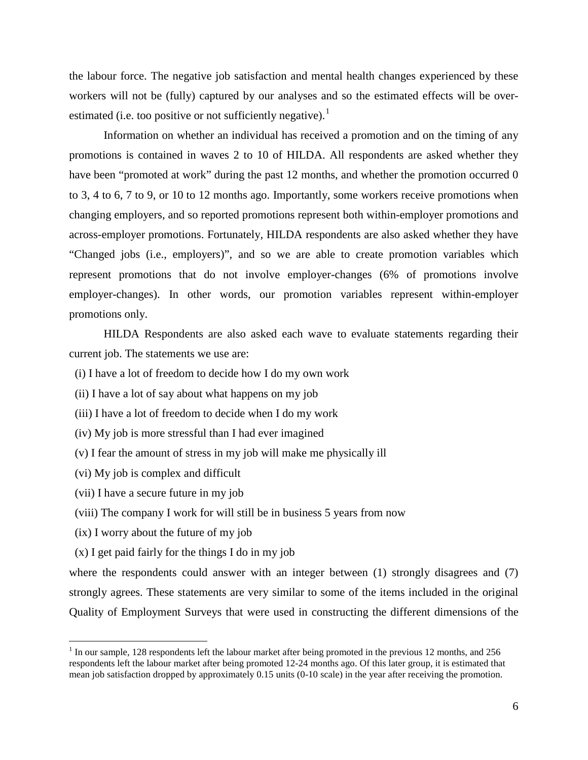the labour force. The negative job satisfaction and mental health changes experienced by these workers will not be (fully) captured by our analyses and so the estimated effects will be over-estimated (i.e. too positive or not sufficiently negative).<sup>[1](#page-8-0)</sup>

Information on whether an individual has received a promotion and on the timing of any promotions is contained in waves 2 to 10 of HILDA. All respondents are asked whether they have been "promoted at work" during the past 12 months, and whether the promotion occurred 0 to 3, 4 to 6, 7 to 9, or 10 to 12 months ago. Importantly, some workers receive promotions when changing employers, and so reported promotions represent both within-employer promotions and across-employer promotions. Fortunately, HILDA respondents are also asked whether they have "Changed jobs (i.e., employers)", and so we are able to create promotion variables which represent promotions that do not involve employer-changes (6% of promotions involve employer-changes). In other words, our promotion variables represent within-employer promotions only.

HILDA Respondents are also asked each wave to evaluate statements regarding their current job. The statements we use are:

(i) I have a lot of freedom to decide how I do my own work

(ii) I have a lot of say about what happens on my job

(iii) I have a lot of freedom to decide when I do my work

(iv) My job is more stressful than I had ever imagined

(v) I fear the amount of stress in my job will make me physically ill

(vi) My job is complex and difficult

(vii) I have a secure future in my job

(viii) The company I work for will still be in business 5 years from now

(ix) I worry about the future of my job

(x) I get paid fairly for the things I do in my job

where the respondents could answer with an integer between (1) strongly disagrees and (7) strongly agrees. These statements are very similar to some of the items included in the original Quality of Employment Surveys that were used in constructing the different dimensions of the

<span id="page-8-0"></span><sup>&</sup>lt;sup>1</sup> In our sample, 128 respondents left the labour market after being promoted in the previous 12 months, and 256 respondents left the labour market after being promoted 12-24 months ago. Of this later group, it is estimated that mean job satisfaction dropped by approximately 0.15 units (0-10 scale) in the year after receiving the promotion.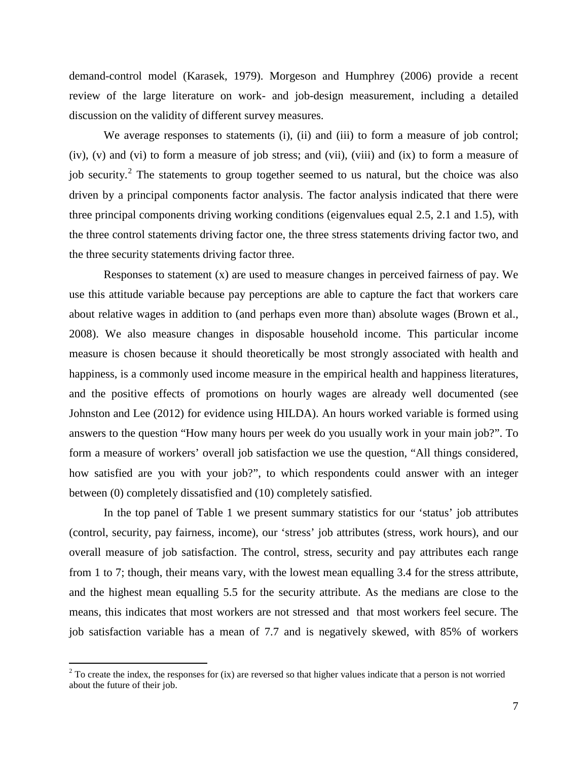demand-control model (Karasek, 1979). Morgeson and Humphrey (2006) provide a recent review of the large literature on work- and job-design measurement, including a detailed discussion on the validity of different survey measures.

We average responses to statements (i), (ii) and (iii) to form a measure of job control; (iv), (v) and (vi) to form a measure of job stress; and (vii), (viii) and (ix) to form a measure of job security.<sup>[2](#page-9-0)</sup> The statements to group together seemed to us natural, but the choice was also driven by a principal components factor analysis. The factor analysis indicated that there were three principal components driving working conditions (eigenvalues equal 2.5, 2.1 and 1.5), with the three control statements driving factor one, the three stress statements driving factor two, and the three security statements driving factor three.

Responses to statement (x) are used to measure changes in perceived fairness of pay. We use this attitude variable because pay perceptions are able to capture the fact that workers care about relative wages in addition to (and perhaps even more than) absolute wages (Brown et al., 2008). We also measure changes in disposable household income. This particular income measure is chosen because it should theoretically be most strongly associated with health and happiness, is a commonly used income measure in the empirical health and happiness literatures, and the positive effects of promotions on hourly wages are already well documented (see Johnston and Lee (2012) for evidence using HILDA). An hours worked variable is formed using answers to the question "How many hours per week do you usually work in your main job?". To form a measure of workers' overall job satisfaction we use the question, "All things considered, how satisfied are you with your job?", to which respondents could answer with an integer between (0) completely dissatisfied and (10) completely satisfied.

In the top panel of Table 1 we present summary statistics for our 'status' job attributes (control, security, pay fairness, income), our 'stress' job attributes (stress, work hours), and our overall measure of job satisfaction. The control, stress, security and pay attributes each range from 1 to 7; though, their means vary, with the lowest mean equalling 3.4 for the stress attribute, and the highest mean equalling 5.5 for the security attribute. As the medians are close to the means, this indicates that most workers are not stressed and that most workers feel secure. The job satisfaction variable has a mean of 7.7 and is negatively skewed, with 85% of workers

<span id="page-9-0"></span> $2^2$  To create the index, the responses for (ix) are reversed so that higher values indicate that a person is not worried about the future of their job.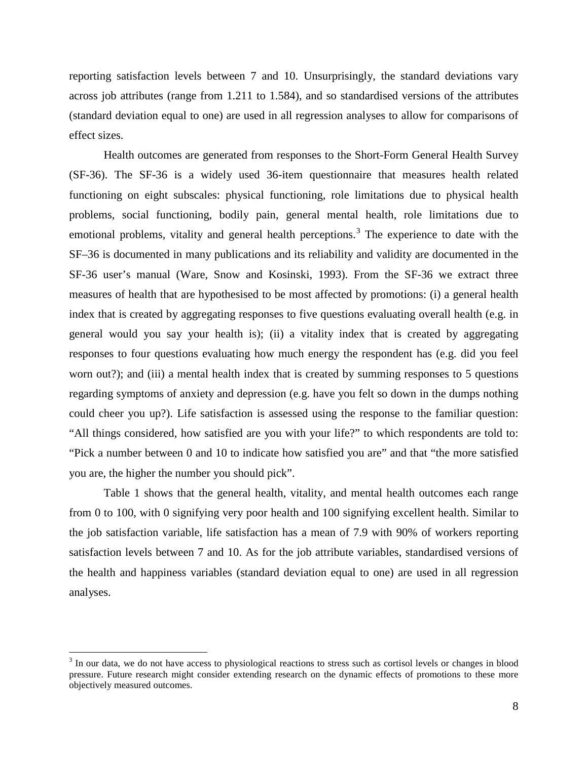reporting satisfaction levels between 7 and 10. Unsurprisingly, the standard deviations vary across job attributes (range from 1.211 to 1.584), and so standardised versions of the attributes (standard deviation equal to one) are used in all regression analyses to allow for comparisons of effect sizes.

Health outcomes are generated from responses to the Short-Form General Health Survey (SF-36). The SF-36 is a widely used 36-item questionnaire that measures health related functioning on eight subscales: physical functioning, role limitations due to physical health problems, social functioning, bodily pain, general mental health, role limitations due to emotional problems, vitality and general health perceptions.<sup>[3](#page-10-0)</sup> The experience to date with the SF–36 is documented in many publications and its reliability and validity are documented in the SF-36 user's manual (Ware, Snow and Kosinski, 1993). From the SF-36 we extract three measures of health that are hypothesised to be most affected by promotions: (i) a general health index that is created by aggregating responses to five questions evaluating overall health (e.g. in general would you say your health is); (ii) a vitality index that is created by aggregating responses to four questions evaluating how much energy the respondent has (e.g. did you feel worn out?); and (iii) a mental health index that is created by summing responses to 5 questions regarding symptoms of anxiety and depression (e.g. have you felt so down in the dumps nothing could cheer you up?). Life satisfaction is assessed using the response to the familiar question: "All things considered, how satisfied are you with your life?" to which respondents are told to: "Pick a number between 0 and 10 to indicate how satisfied you are" and that "the more satisfied you are, the higher the number you should pick".

Table 1 shows that the general health, vitality, and mental health outcomes each range from 0 to 100, with 0 signifying very poor health and 100 signifying excellent health. Similar to the job satisfaction variable, life satisfaction has a mean of 7.9 with 90% of workers reporting satisfaction levels between 7 and 10. As for the job attribute variables, standardised versions of the health and happiness variables (standard deviation equal to one) are used in all regression analyses.

<span id="page-10-0"></span><sup>&</sup>lt;sup>3</sup> In our data, we do not have access to physiological reactions to stress such as cortisol levels or changes in blood pressure. Future research might consider extending research on the dynamic effects of promotions to these more objectively measured outcomes.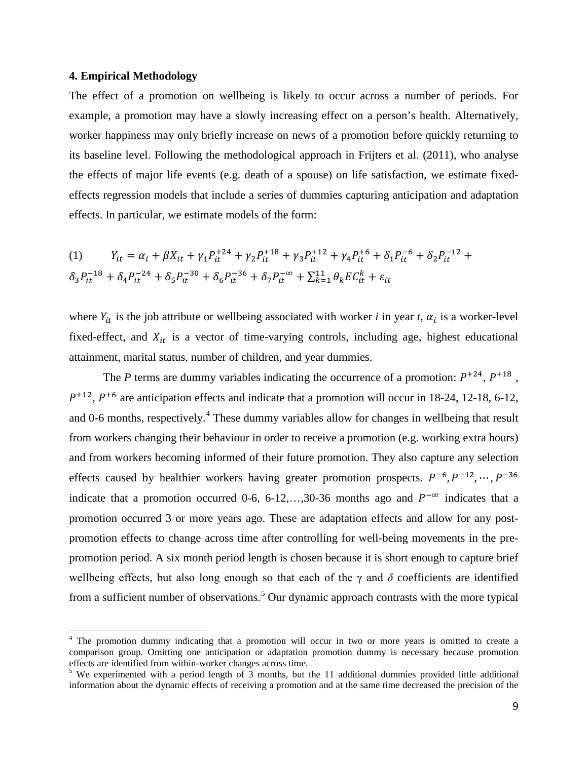#### **4. Empirical Methodology**

The effect of a promotion on wellbeing is likely to occur across a number of periods. For example, a promotion may have a slowly increasing effect on a person's health. Alternatively, worker happiness may only briefly increase on news of a promotion before quickly returning to its baseline level. Following the methodological approach in Frijters et al. (2011), who analyse the effects of major life events (e.g. death of a spouse) on life satisfaction, we estimate fixedeffects regression models that include a series of dummies capturing anticipation and adaptation effects. In particular, we estimate models of the form:

(1) 
$$
Y_{it} = \alpha_i + \beta X_{it} + \gamma_1 P_{it}^{+24} + \gamma_2 P_{it}^{+18} + \gamma_3 P_{it}^{+12} + \gamma_4 P_{it}^{+6} + \delta_1 P_{it}^{-6} + \delta_2 P_{it}^{-12} + \delta_3 P_{it}^{-18} + \delta_4 P_{it}^{-24} + \delta_5 P_{it}^{-30} + \delta_6 P_{it}^{-36} + \delta_7 P_{it}^{-\infty} + \sum_{k=1}^{11} \theta_k E C_{it}^k + \varepsilon_{it}
$$

where  $Y_{it}$  is the job attribute or wellbeing associated with worker *i* in year *t*,  $\alpha_i$  is a worker-level fixed-effect, and  $X_{it}$  is a vector of time-varying controls, including age, highest educational attainment, marital status, number of children, and year dummies.

The *P* terms are dummy variables indicating the occurrence of a promotion:  $P^{+24}$ ,  $P^{+18}$ ,  $P^{+12}$ ,  $P^{+6}$  are anticipation effects and indicate that a promotion will occur in 18-24, 12-18, 6-12, and 0-6 months, respectively.<sup>[4](#page-11-0)</sup> These dummy variables allow for changes in wellbeing that result from workers changing their behaviour in order to receive a promotion (e.g. working extra hours) and from workers becoming informed of their future promotion. They also capture any selection effects caused by healthier workers having greater promotion prospects.  $P^{-6}$ ,  $P^{-12}$ , …,  $P^{-36}$ indicate that a promotion occurred 0-6, 6-12,…,30-36 months ago and  $P^{-\infty}$  indicates that a promotion occurred 3 or more years ago. These are adaptation effects and allow for any postpromotion effects to change across time after controlling for well-being movements in the prepromotion period. A six month period length is chosen because it is short enough to capture brief wellbeing effects, but also long enough so that each of the  $\gamma$  and  $\delta$  coefficients are identified from a sufficient number of observations.<sup>[5](#page-11-1)</sup> Our dynamic approach contrasts with the more typical

<span id="page-11-0"></span><sup>&</sup>lt;sup>4</sup> The promotion dummy indicating that a promotion will occur in two or more years is omitted to create a comparison group. Omitting one anticipation or adaptation promotion dummy is necessary because promotion effects are identified from within-worker changes across time.<br><sup>5</sup> We experimented with a period length of 3 months, but the 11 additional dummies provided little additional

<span id="page-11-1"></span>information about the dynamic effects of receiving a promotion and at the same time decreased the precision of the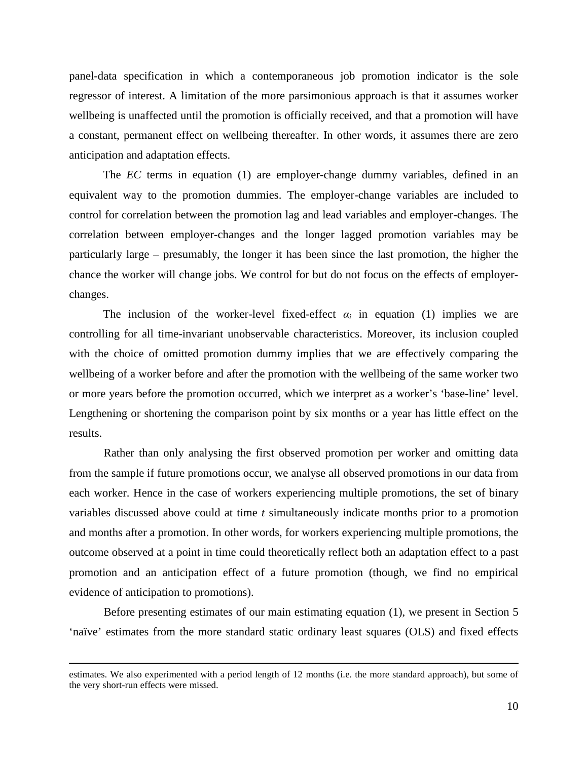panel-data specification in which a contemporaneous job promotion indicator is the sole regressor of interest. A limitation of the more parsimonious approach is that it assumes worker wellbeing is unaffected until the promotion is officially received, and that a promotion will have a constant, permanent effect on wellbeing thereafter. In other words, it assumes there are zero anticipation and adaptation effects.

The *EC* terms in equation (1) are employer-change dummy variables, defined in an equivalent way to the promotion dummies. The employer-change variables are included to control for correlation between the promotion lag and lead variables and employer-changes. The correlation between employer-changes and the longer lagged promotion variables may be particularly large – presumably, the longer it has been since the last promotion, the higher the chance the worker will change jobs. We control for but do not focus on the effects of employerchanges.

The inclusion of the worker-level fixed-effect  $\alpha_i$  in equation (1) implies we are controlling for all time-invariant unobservable characteristics. Moreover, its inclusion coupled with the choice of omitted promotion dummy implies that we are effectively comparing the wellbeing of a worker before and after the promotion with the wellbeing of the same worker two or more years before the promotion occurred, which we interpret as a worker's 'base-line' level. Lengthening or shortening the comparison point by six months or a year has little effect on the results.

Rather than only analysing the first observed promotion per worker and omitting data from the sample if future promotions occur, we analyse all observed promotions in our data from each worker. Hence in the case of workers experiencing multiple promotions, the set of binary variables discussed above could at time *t* simultaneously indicate months prior to a promotion and months after a promotion. In other words, for workers experiencing multiple promotions, the outcome observed at a point in time could theoretically reflect both an adaptation effect to a past promotion and an anticipation effect of a future promotion (though, we find no empirical evidence of anticipation to promotions).

Before presenting estimates of our main estimating equation (1), we present in Section 5 'naïve' estimates from the more standard static ordinary least squares (OLS) and fixed effects

 $\overline{a}$ 

estimates. We also experimented with a period length of 12 months (i.e. the more standard approach), but some of the very short-run effects were missed.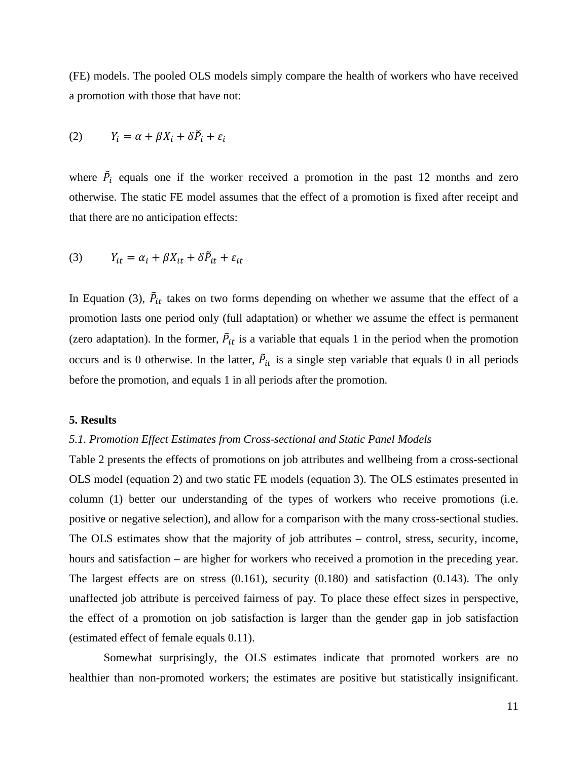(FE) models. The pooled OLS models simply compare the health of workers who have received a promotion with those that have not:

$$
(2) \tY_i = \alpha + \beta X_i + \delta \check{P}_i + \varepsilon_i
$$

where  $\tilde{P}_i$  equals one if the worker received a promotion in the past 12 months and zero otherwise. The static FE model assumes that the effect of a promotion is fixed after receipt and that there are no anticipation effects:

$$
(3) \tY_{it} = \alpha_i + \beta X_{it} + \delta \tilde{P}_{it} + \varepsilon_{it}
$$

In Equation (3),  $\ddot{P}_{it}$  takes on two forms depending on whether we assume that the effect of a promotion lasts one period only (full adaptation) or whether we assume the effect is permanent (zero adaptation). In the former,  $\ddot{P}_{it}$  is a variable that equals 1 in the period when the promotion occurs and is 0 otherwise. In the latter,  $\ddot{P}_{it}$  is a single step variable that equals 0 in all periods before the promotion, and equals 1 in all periods after the promotion.

#### **5. Results**

#### *5.1. Promotion Effect Estimates from Cross-sectional and Static Panel Models*

Table 2 presents the effects of promotions on job attributes and wellbeing from a cross-sectional OLS model (equation 2) and two static FE models (equation 3). The OLS estimates presented in column (1) better our understanding of the types of workers who receive promotions (i.e. positive or negative selection), and allow for a comparison with the many cross-sectional studies. The OLS estimates show that the majority of job attributes – control, stress, security, income, hours and satisfaction – are higher for workers who received a promotion in the preceding year. The largest effects are on stress (0.161), security (0.180) and satisfaction (0.143). The only unaffected job attribute is perceived fairness of pay. To place these effect sizes in perspective, the effect of a promotion on job satisfaction is larger than the gender gap in job satisfaction (estimated effect of female equals 0.11).

Somewhat surprisingly, the OLS estimates indicate that promoted workers are no healthier than non-promoted workers; the estimates are positive but statistically insignificant.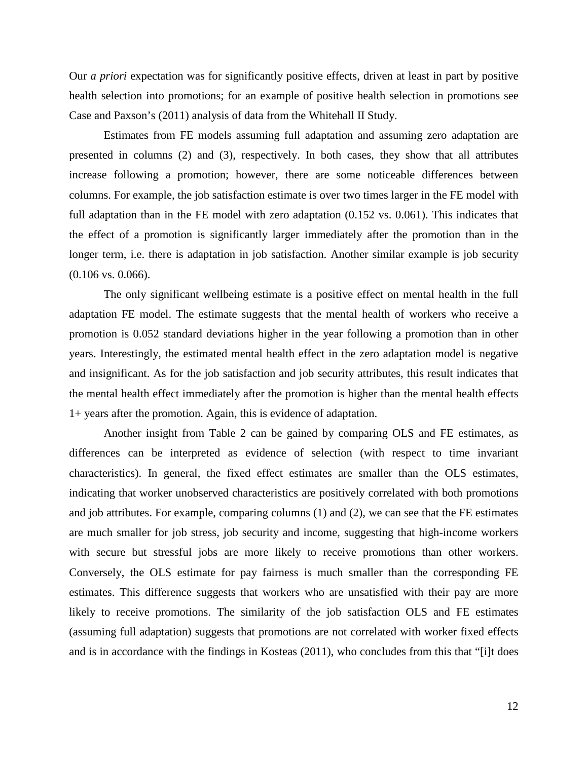Our *a priori* expectation was for significantly positive effects, driven at least in part by positive health selection into promotions; for an example of positive health selection in promotions see Case and Paxson's (2011) analysis of data from the Whitehall II Study.

Estimates from FE models assuming full adaptation and assuming zero adaptation are presented in columns (2) and (3), respectively. In both cases, they show that all attributes increase following a promotion; however, there are some noticeable differences between columns. For example, the job satisfaction estimate is over two times larger in the FE model with full adaptation than in the FE model with zero adaptation (0.152 vs. 0.061). This indicates that the effect of a promotion is significantly larger immediately after the promotion than in the longer term, i.e. there is adaptation in job satisfaction. Another similar example is job security (0.106 vs. 0.066).

The only significant wellbeing estimate is a positive effect on mental health in the full adaptation FE model. The estimate suggests that the mental health of workers who receive a promotion is 0.052 standard deviations higher in the year following a promotion than in other years. Interestingly, the estimated mental health effect in the zero adaptation model is negative and insignificant. As for the job satisfaction and job security attributes, this result indicates that the mental health effect immediately after the promotion is higher than the mental health effects 1+ years after the promotion. Again, this is evidence of adaptation.

Another insight from Table 2 can be gained by comparing OLS and FE estimates, as differences can be interpreted as evidence of selection (with respect to time invariant characteristics). In general, the fixed effect estimates are smaller than the OLS estimates, indicating that worker unobserved characteristics are positively correlated with both promotions and job attributes. For example, comparing columns (1) and (2), we can see that the FE estimates are much smaller for job stress, job security and income, suggesting that high-income workers with secure but stressful jobs are more likely to receive promotions than other workers. Conversely, the OLS estimate for pay fairness is much smaller than the corresponding FE estimates. This difference suggests that workers who are unsatisfied with their pay are more likely to receive promotions. The similarity of the job satisfaction OLS and FE estimates (assuming full adaptation) suggests that promotions are not correlated with worker fixed effects and is in accordance with the findings in Kosteas (2011), who concludes from this that "[i]t does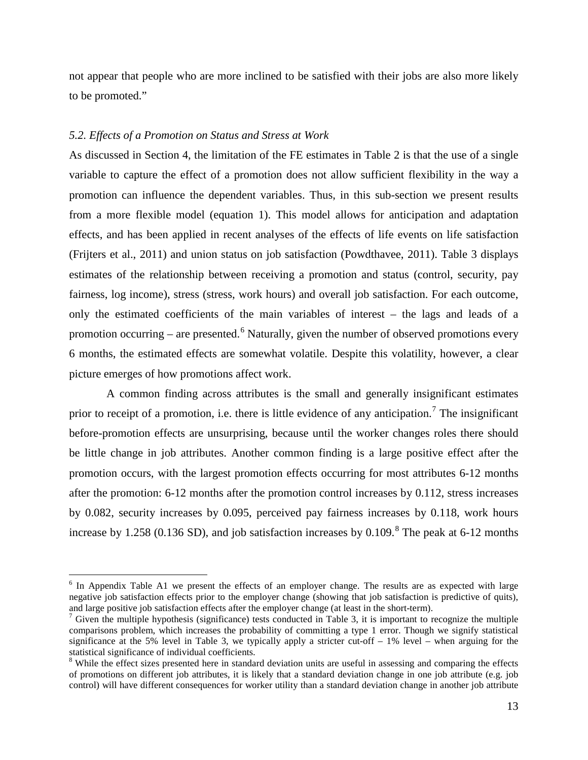not appear that people who are more inclined to be satisfied with their jobs are also more likely to be promoted."

#### *5.2. Effects of a Promotion on Status and Stress at Work*

As discussed in Section 4, the limitation of the FE estimates in Table 2 is that the use of a single variable to capture the effect of a promotion does not allow sufficient flexibility in the way a promotion can influence the dependent variables. Thus, in this sub-section we present results from a more flexible model (equation 1). This model allows for anticipation and adaptation effects, and has been applied in recent analyses of the effects of life events on life satisfaction (Frijters et al., 2011) and union status on job satisfaction (Powdthavee, 2011). Table 3 displays estimates of the relationship between receiving a promotion and status (control, security, pay fairness, log income), stress (stress, work hours) and overall job satisfaction. For each outcome, only the estimated coefficients of the main variables of interest – the lags and leads of a promotion occurring – are presented.<sup>[6](#page-15-0)</sup> Naturally, given the number of observed promotions every 6 months, the estimated effects are somewhat volatile. Despite this volatility, however, a clear picture emerges of how promotions affect work.

A common finding across attributes is the small and generally insignificant estimates prior to receipt of a promotion, i.e. there is little evidence of any anticipation.<sup>[7](#page-15-1)</sup> The insignificant before-promotion effects are unsurprising, because until the worker changes roles there should be little change in job attributes. Another common finding is a large positive effect after the promotion occurs, with the largest promotion effects occurring for most attributes 6-12 months after the promotion: 6-12 months after the promotion control increases by 0.112, stress increases by 0.082, security increases by 0.095, perceived pay fairness increases by 0.118, work hours increase by 1.25[8](#page-15-2) (0.136 SD), and job satisfaction increases by 0.109.<sup>8</sup> The peak at 6-12 months

<span id="page-15-0"></span><sup>&</sup>lt;sup>6</sup> In Appendix Table A1 we present the effects of an employer change. The results are as expected with large negative job satisfaction effects prior to the employer change (showing that job satisfaction is predictive of quits), and large positive job satisfaction effects after the employer change (at least in the short-term).

<span id="page-15-1"></span><sup>&</sup>lt;sup>7</sup> Given the multiple hypothesis (significance) tests conducted in Table 3, it is important to recognize the multiple comparisons problem, which increases the probability of committing a type 1 error. Though we signify statistical significance at the 5% level in Table 3, we typically apply a stricter cut-off  $-1\%$  level – when arguing for the statistical significance of individual coefficients.

<span id="page-15-2"></span><sup>&</sup>lt;sup>8</sup> While the effect sizes presented here in standard deviation units are useful in assessing and comparing the effects of promotions on different job attributes, it is likely that a standard deviation change in one job attribute (e.g. job control) will have different consequences for worker utility than a standard deviation change in another job attribute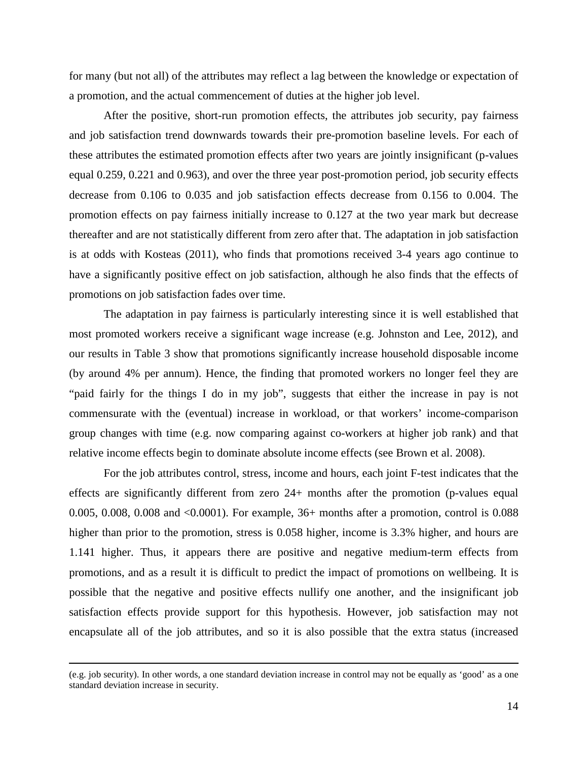for many (but not all) of the attributes may reflect a lag between the knowledge or expectation of a promotion, and the actual commencement of duties at the higher job level.

After the positive, short-run promotion effects, the attributes job security, pay fairness and job satisfaction trend downwards towards their pre-promotion baseline levels. For each of these attributes the estimated promotion effects after two years are jointly insignificant (p-values equal 0.259, 0.221 and 0.963), and over the three year post-promotion period, job security effects decrease from 0.106 to 0.035 and job satisfaction effects decrease from 0.156 to 0.004. The promotion effects on pay fairness initially increase to 0.127 at the two year mark but decrease thereafter and are not statistically different from zero after that. The adaptation in job satisfaction is at odds with Kosteas (2011), who finds that promotions received 3-4 years ago continue to have a significantly positive effect on job satisfaction, although he also finds that the effects of promotions on job satisfaction fades over time.

The adaptation in pay fairness is particularly interesting since it is well established that most promoted workers receive a significant wage increase (e.g. Johnston and Lee, 2012), and our results in Table 3 show that promotions significantly increase household disposable income (by around 4% per annum). Hence, the finding that promoted workers no longer feel they are "paid fairly for the things I do in my job", suggests that either the increase in pay is not commensurate with the (eventual) increase in workload, or that workers' income-comparison group changes with time (e.g. now comparing against co-workers at higher job rank) and that relative income effects begin to dominate absolute income effects (see Brown et al. 2008).

For the job attributes control, stress, income and hours, each joint F-test indicates that the effects are significantly different from zero 24+ months after the promotion (p-values equal 0.005, 0.008, 0.008 and <0.0001). For example, 36+ months after a promotion, control is 0.088 higher than prior to the promotion, stress is 0.058 higher, income is 3.3% higher, and hours are 1.141 higher. Thus, it appears there are positive and negative medium-term effects from promotions, and as a result it is difficult to predict the impact of promotions on wellbeing. It is possible that the negative and positive effects nullify one another, and the insignificant job satisfaction effects provide support for this hypothesis. However, job satisfaction may not encapsulate all of the job attributes, and so it is also possible that the extra status (increased

 $\overline{a}$ 

<sup>(</sup>e.g. job security). In other words, a one standard deviation increase in control may not be equally as 'good' as a one standard deviation increase in security.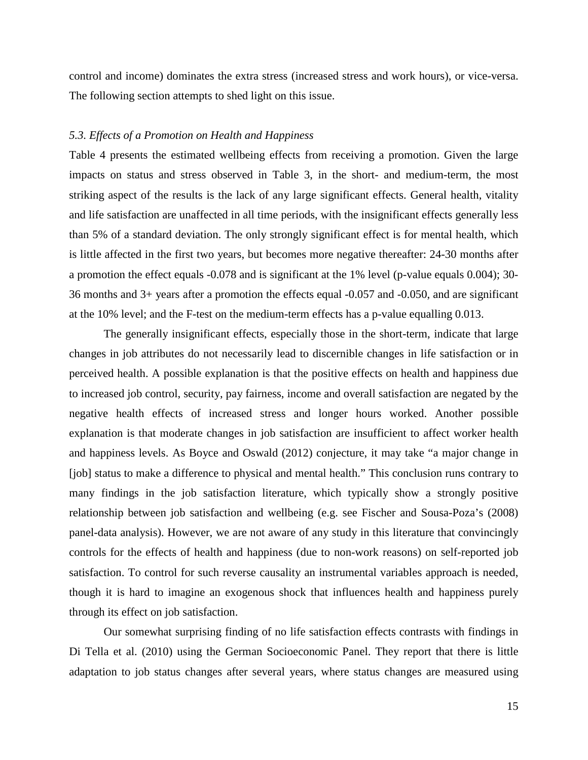control and income) dominates the extra stress (increased stress and work hours), or vice-versa. The following section attempts to shed light on this issue.

#### *5.3. Effects of a Promotion on Health and Happiness*

Table 4 presents the estimated wellbeing effects from receiving a promotion. Given the large impacts on status and stress observed in Table 3, in the short- and medium-term, the most striking aspect of the results is the lack of any large significant effects. General health, vitality and life satisfaction are unaffected in all time periods, with the insignificant effects generally less than 5% of a standard deviation. The only strongly significant effect is for mental health, which is little affected in the first two years, but becomes more negative thereafter: 24-30 months after a promotion the effect equals -0.078 and is significant at the 1% level (p-value equals 0.004); 30- 36 months and 3+ years after a promotion the effects equal -0.057 and -0.050, and are significant at the 10% level; and the F-test on the medium-term effects has a p-value equalling 0.013.

The generally insignificant effects, especially those in the short-term, indicate that large changes in job attributes do not necessarily lead to discernible changes in life satisfaction or in perceived health. A possible explanation is that the positive effects on health and happiness due to increased job control, security, pay fairness, income and overall satisfaction are negated by the negative health effects of increased stress and longer hours worked. Another possible explanation is that moderate changes in job satisfaction are insufficient to affect worker health and happiness levels. As Boyce and Oswald (2012) conjecture, it may take "a major change in [job] status to make a difference to physical and mental health." This conclusion runs contrary to many findings in the job satisfaction literature, which typically show a strongly positive relationship between job satisfaction and wellbeing (e.g. see Fischer and Sousa-Poza's (2008) panel-data analysis). However, we are not aware of any study in this literature that convincingly controls for the effects of health and happiness (due to non-work reasons) on self-reported job satisfaction. To control for such reverse causality an instrumental variables approach is needed, though it is hard to imagine an exogenous shock that influences health and happiness purely through its effect on job satisfaction.

Our somewhat surprising finding of no life satisfaction effects contrasts with findings in Di Tella et al. (2010) using the German Socioeconomic Panel. They report that there is little adaptation to job status changes after several years, where status changes are measured using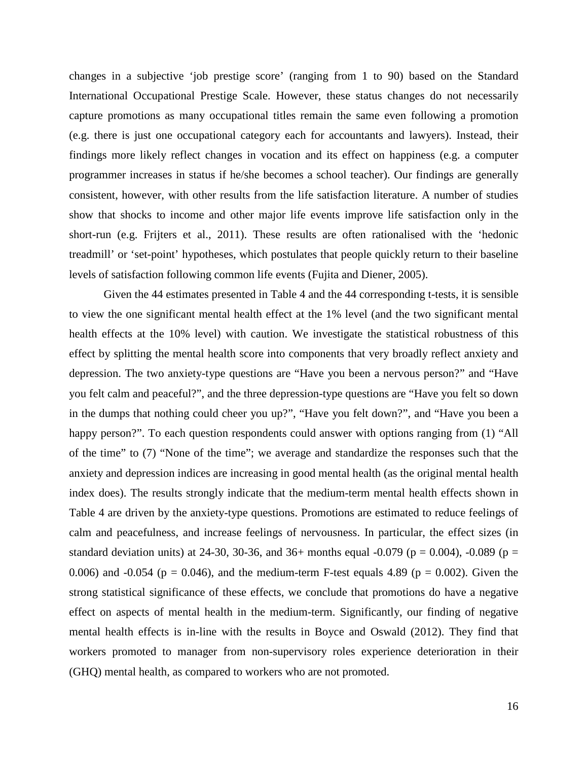changes in a subjective 'job prestige score' (ranging from 1 to 90) based on the Standard International Occupational Prestige Scale. However, these status changes do not necessarily capture promotions as many occupational titles remain the same even following a promotion (e.g. there is just one occupational category each for accountants and lawyers). Instead, their findings more likely reflect changes in vocation and its effect on happiness (e.g. a computer programmer increases in status if he/she becomes a school teacher). Our findings are generally consistent, however, with other results from the life satisfaction literature. A number of studies show that shocks to income and other major life events improve life satisfaction only in the short-run (e.g. Frijters et al., 2011). These results are often rationalised with the 'hedonic treadmill' or 'set-point' hypotheses, which postulates that people quickly return to their baseline levels of satisfaction following common life events (Fujita and Diener, 2005).

Given the 44 estimates presented in Table 4 and the 44 corresponding t-tests, it is sensible to view the one significant mental health effect at the 1% level (and the two significant mental health effects at the 10% level) with caution. We investigate the statistical robustness of this effect by splitting the mental health score into components that very broadly reflect anxiety and depression. The two anxiety-type questions are "Have you been a nervous person?" and "Have you felt calm and peaceful?", and the three depression-type questions are "Have you felt so down in the dumps that nothing could cheer you up?", "Have you felt down?", and "Have you been a happy person?". To each question respondents could answer with options ranging from (1) "All of the time" to (7) "None of the time"; we average and standardize the responses such that the anxiety and depression indices are increasing in good mental health (as the original mental health index does). The results strongly indicate that the medium-term mental health effects shown in Table 4 are driven by the anxiety-type questions. Promotions are estimated to reduce feelings of calm and peacefulness, and increase feelings of nervousness. In particular, the effect sizes (in standard deviation units) at 24-30, 30-36, and 36+ months equal -0.079 ( $p = 0.004$ ), -0.089 ( $p =$ 0.006) and -0.054 ( $p = 0.046$ ), and the medium-term F-test equals 4.89 ( $p = 0.002$ ). Given the strong statistical significance of these effects, we conclude that promotions do have a negative effect on aspects of mental health in the medium-term. Significantly, our finding of negative mental health effects is in-line with the results in Boyce and Oswald (2012). They find that workers promoted to manager from non-supervisory roles experience deterioration in their (GHQ) mental health, as compared to workers who are not promoted.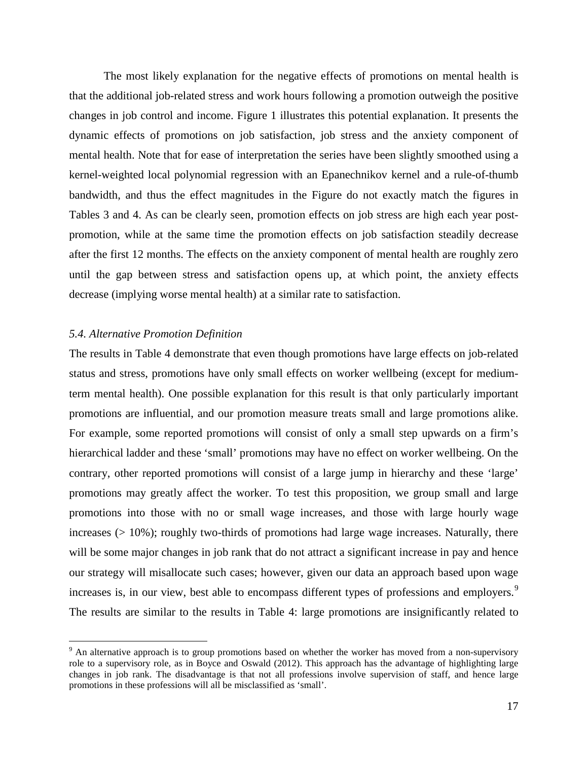The most likely explanation for the negative effects of promotions on mental health is that the additional job-related stress and work hours following a promotion outweigh the positive changes in job control and income. Figure 1 illustrates this potential explanation. It presents the dynamic effects of promotions on job satisfaction, job stress and the anxiety component of mental health. Note that for ease of interpretation the series have been slightly smoothed using a kernel-weighted local polynomial regression with an Epanechnikov kernel and a rule-of-thumb bandwidth, and thus the effect magnitudes in the Figure do not exactly match the figures in Tables 3 and 4. As can be clearly seen, promotion effects on job stress are high each year postpromotion, while at the same time the promotion effects on job satisfaction steadily decrease after the first 12 months. The effects on the anxiety component of mental health are roughly zero until the gap between stress and satisfaction opens up, at which point, the anxiety effects decrease (implying worse mental health) at a similar rate to satisfaction.

#### *5.4. Alternative Promotion Definition*

The results in Table 4 demonstrate that even though promotions have large effects on job-related status and stress, promotions have only small effects on worker wellbeing (except for mediumterm mental health). One possible explanation for this result is that only particularly important promotions are influential, and our promotion measure treats small and large promotions alike. For example, some reported promotions will consist of only a small step upwards on a firm's hierarchical ladder and these 'small' promotions may have no effect on worker wellbeing. On the contrary, other reported promotions will consist of a large jump in hierarchy and these 'large' promotions may greatly affect the worker. To test this proposition, we group small and large promotions into those with no or small wage increases, and those with large hourly wage increases  $(> 10\%)$ ; roughly two-thirds of promotions had large wage increases. Naturally, there will be some major changes in job rank that do not attract a significant increase in pay and hence our strategy will misallocate such cases; however, given our data an approach based upon wage increases is, in our view, best able to encompass different types of professions and employers.<sup>[9](#page-19-0)</sup> The results are similar to the results in Table 4: large promotions are insignificantly related to

<span id="page-19-0"></span><sup>&</sup>lt;sup>9</sup> An alternative approach is to group promotions based on whether the worker has moved from a non-supervisory role to a supervisory role, as in Boyce and Oswald (2012). This approach has the advantage of highlighting large changes in job rank. The disadvantage is that not all professions involve supervision of staff, and hence large promotions in these professions will all be misclassified as 'small'.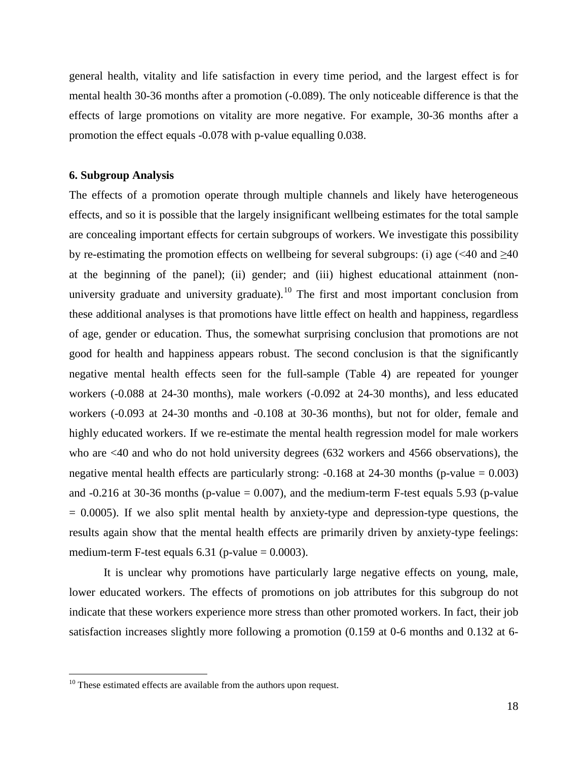general health, vitality and life satisfaction in every time period, and the largest effect is for mental health 30-36 months after a promotion (-0.089). The only noticeable difference is that the effects of large promotions on vitality are more negative. For example, 30-36 months after a promotion the effect equals -0.078 with p-value equalling 0.038.

#### **6. Subgroup Analysis**

The effects of a promotion operate through multiple channels and likely have heterogeneous effects, and so it is possible that the largely insignificant wellbeing estimates for the total sample are concealing important effects for certain subgroups of workers. We investigate this possibility by re-estimating the promotion effects on wellbeing for several subgroups: (i) age  $( $40 \text{ and } \geq 40$$ at the beginning of the panel); (ii) gender; and (iii) highest educational attainment (non-university graduate and university graduate).<sup>[10](#page-20-0)</sup> The first and most important conclusion from these additional analyses is that promotions have little effect on health and happiness, regardless of age, gender or education. Thus, the somewhat surprising conclusion that promotions are not good for health and happiness appears robust. The second conclusion is that the significantly negative mental health effects seen for the full-sample (Table 4) are repeated for younger workers (-0.088 at 24-30 months), male workers (-0.092 at 24-30 months), and less educated workers (-0.093 at 24-30 months and -0.108 at 30-36 months), but not for older, female and highly educated workers. If we re-estimate the mental health regression model for male workers who are <40 and who do not hold university degrees (632 workers and 4566 observations), the negative mental health effects are particularly strong:  $-0.168$  at 24-30 months (p-value = 0.003) and  $-0.216$  at 30-36 months (p-value = 0.007), and the medium-term F-test equals 5.93 (p-value  $= 0.0005$ ). If we also split mental health by anxiety-type and depression-type questions, the results again show that the mental health effects are primarily driven by anxiety-type feelings: medium-term F-test equals  $6.31$  (p-value = 0.0003).

It is unclear why promotions have particularly large negative effects on young, male, lower educated workers. The effects of promotions on job attributes for this subgroup do not indicate that these workers experience more stress than other promoted workers. In fact, their job satisfaction increases slightly more following a promotion (0.159 at 0-6 months and 0.132 at 6-

<span id="page-20-0"></span> $10$  These estimated effects are available from the authors upon request.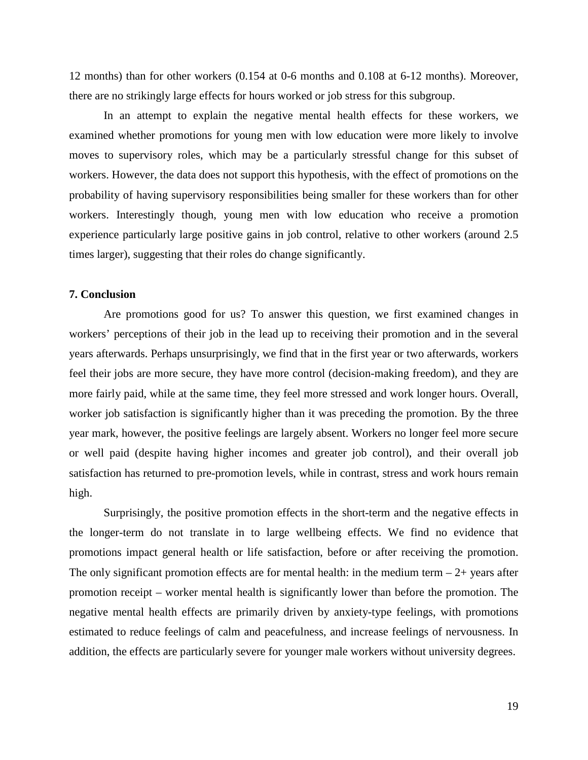12 months) than for other workers (0.154 at 0-6 months and 0.108 at 6-12 months). Moreover, there are no strikingly large effects for hours worked or job stress for this subgroup.

In an attempt to explain the negative mental health effects for these workers, we examined whether promotions for young men with low education were more likely to involve moves to supervisory roles, which may be a particularly stressful change for this subset of workers. However, the data does not support this hypothesis, with the effect of promotions on the probability of having supervisory responsibilities being smaller for these workers than for other workers. Interestingly though, young men with low education who receive a promotion experience particularly large positive gains in job control, relative to other workers (around 2.5 times larger), suggesting that their roles do change significantly.

#### **7. Conclusion**

Are promotions good for us? To answer this question, we first examined changes in workers' perceptions of their job in the lead up to receiving their promotion and in the several years afterwards. Perhaps unsurprisingly, we find that in the first year or two afterwards, workers feel their jobs are more secure, they have more control (decision-making freedom), and they are more fairly paid, while at the same time, they feel more stressed and work longer hours. Overall, worker job satisfaction is significantly higher than it was preceding the promotion. By the three year mark, however, the positive feelings are largely absent. Workers no longer feel more secure or well paid (despite having higher incomes and greater job control), and their overall job satisfaction has returned to pre-promotion levels, while in contrast, stress and work hours remain high.

Surprisingly, the positive promotion effects in the short-term and the negative effects in the longer-term do not translate in to large wellbeing effects. We find no evidence that promotions impact general health or life satisfaction, before or after receiving the promotion. The only significant promotion effects are for mental health: in the medium term  $-2+$  years after promotion receipt – worker mental health is significantly lower than before the promotion. The negative mental health effects are primarily driven by anxiety-type feelings, with promotions estimated to reduce feelings of calm and peacefulness, and increase feelings of nervousness. In addition, the effects are particularly severe for younger male workers without university degrees.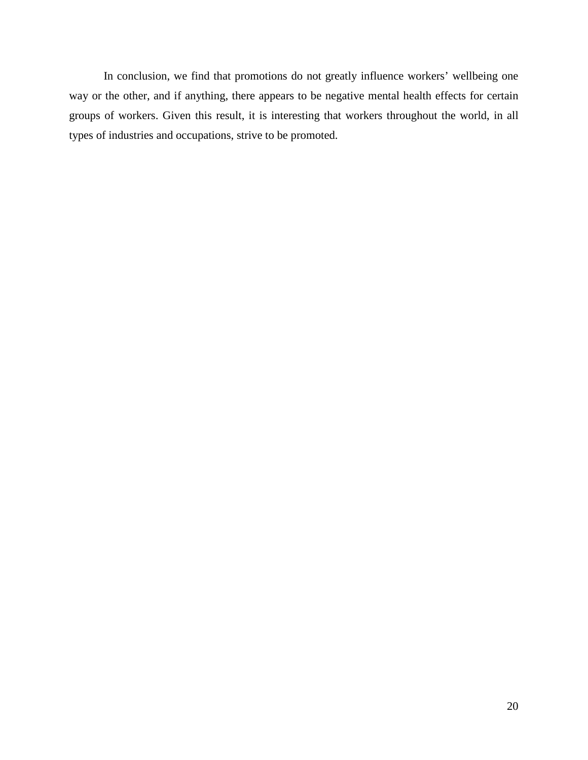In conclusion, we find that promotions do not greatly influence workers' wellbeing one way or the other, and if anything, there appears to be negative mental health effects for certain groups of workers. Given this result, it is interesting that workers throughout the world, in all types of industries and occupations, strive to be promoted.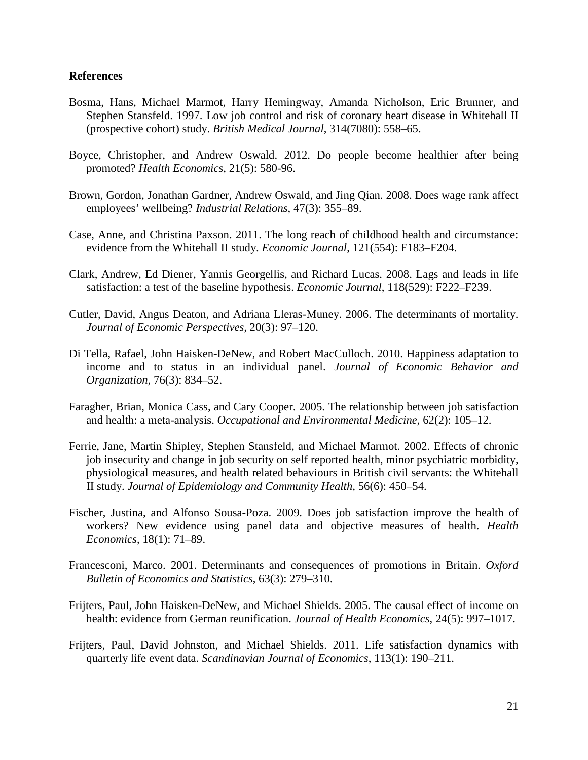#### **References**

- Bosma, Hans, Michael Marmot, Harry Hemingway, Amanda Nicholson, Eric Brunner, and Stephen Stansfeld. 1997. Low job control and risk of coronary heart disease in Whitehall II (prospective cohort) study. *British Medical Journal*, 314(7080): 558–65.
- Boyce, Christopher, and Andrew Oswald. 2012. Do people become healthier after being promoted? *Health Economics*, 21(5): 580-96.
- Brown, Gordon, Jonathan Gardner, Andrew Oswald, and Jing Qian. 2008. Does wage rank affect employees' wellbeing? *Industrial Relations*, 47(3): 355–89.
- Case, Anne, and Christina Paxson. 2011. The long reach of childhood health and circumstance: evidence from the Whitehall II study. *Economic Journal*, 121(554): F183–F204.
- Clark, Andrew, Ed Diener, Yannis Georgellis, and Richard Lucas. 2008. Lags and leads in life satisfaction: a test of the baseline hypothesis. *Economic Journal*, 118(529): F222–F239.
- Cutler, David, Angus Deaton, and Adriana Lleras-Muney. 2006. The determinants of mortality. *Journal of Economic Perspectives,* 20(3): 97–120.
- Di Tella, Rafael, John Haisken-DeNew, and Robert MacCulloch. 2010. Happiness adaptation to income and to status in an individual panel. *Journal of Economic Behavior and Organization*, 76(3): 834–52.
- Faragher, Brian, Monica Cass, and Cary Cooper. 2005. The relationship between job satisfaction and health: a meta-analysis. *Occupational and Environmental Medicine*, 62(2): 105–12.
- Ferrie, Jane, Martin Shipley, Stephen Stansfeld, and Michael Marmot. 2002. Effects of chronic job insecurity and change in job security on self reported health, minor psychiatric morbidity, physiological measures, and health related behaviours in British civil servants: the Whitehall II study. *Journal of Epidemiology and Community Health,* 56(6): 450–54.
- Fischer, Justina, and Alfonso Sousa-Poza. 2009. Does job satisfaction improve the health of workers? New evidence using panel data and objective measures of health. *Health Economics*, 18(1): 71–89.
- Francesconi, Marco. 2001. Determinants and consequences of promotions in Britain. *Oxford Bulletin of Economics and Statistics*, 63(3): 279–310.
- Frijters, Paul, John Haisken-DeNew, and Michael Shields. 2005. The causal effect of income on health: evidence from German reunification. *Journal of Health Economics*, 24(5): 997–1017.
- Frijters, Paul, David Johnston, and Michael Shields. 2011. Life satisfaction dynamics with quarterly life event data. *Scandinavian Journal of Economics*, 113(1): 190–211.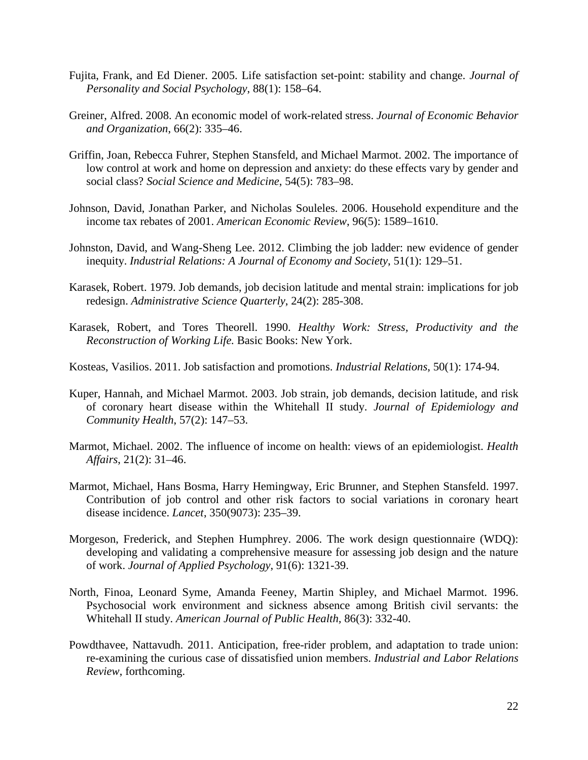- Fujita, Frank, and Ed Diener. 2005. Life satisfaction set-point: stability and change. *Journal of Personality and Social Psychology*, 88(1): 158–64.
- Greiner, Alfred. 2008. An economic model of work-related stress. *Journal of Economic Behavior and Organization*, 66(2): 335–46.
- Griffin, Joan, Rebecca Fuhrer, Stephen Stansfeld, and Michael Marmot. 2002. The importance of low control at work and home on depression and anxiety: do these effects vary by gender and social class? *Social Science and Medicine*, 54(5): 783–98.
- Johnson, David, Jonathan Parker, and Nicholas Souleles. 2006. Household expenditure and the income tax rebates of 2001. *[American Economic Review](http://www.jstor.org/action/showPublication?journalCode=amereconrevi)*, 96(5): 1589–1610.
- Johnston, David, and Wang-Sheng Lee. 2012. Climbing the job ladder: new evidence of gender inequity. *Industrial Relations: A Journal of Economy and Society*, 51(1): 129–51.
- Karasek, Robert. 1979. Job demands, job decision latitude and mental strain: implications for job redesign. *Administrative Science Quarterly*, 24(2): 285-308.
- Karasek, Robert, and Tores Theorell. 1990. *Healthy Work: Stress, Productivity and the Reconstruction of Working Life.* Basic Books: New York.
- Kosteas, Vasilios. 2011. Job satisfaction and promotions. *Industrial Relations*, 50(1): 174-94.
- Kuper, Hannah, and Michael Marmot. 2003. Job strain, job demands, decision latitude, and risk of coronary heart disease within the Whitehall II study. *Journal of Epidemiology and Community Health*, 57(2): 147–53.
- Marmot, Michael. 2002. The influence of income on health: views of an epidemiologist. *Health Affairs*, 21(2): 31–46.
- Marmot, Michael, Hans Bosma, Harry Hemingway, Eric Brunner, and Stephen Stansfeld. 1997. Contribution of job control and other risk factors to social variations in coronary heart disease incidence. *Lancet*, 350(9073): 235–39.
- Morgeson, Frederick, and Stephen Humphrey. 2006. The work design questionnaire (WDQ): developing and validating a comprehensive measure for assessing job design and the nature of work. *Journal of Applied Psychology*, 91(6): 1321-39.
- North, Finoa, Leonard Syme, Amanda Feeney, Martin Shipley, and Michael Marmot. 1996. Psychosocial work environment and sickness absence among British civil servants: the Whitehall II study. *American Journal of Public Health,* 86(3): 332-40.
- Powdthavee, Nattavudh. 2011. Anticipation, free-rider problem, and adaptation to trade union: re-examining the curious case of dissatisfied union members. *Industrial and Labor Relations Review*, forthcoming.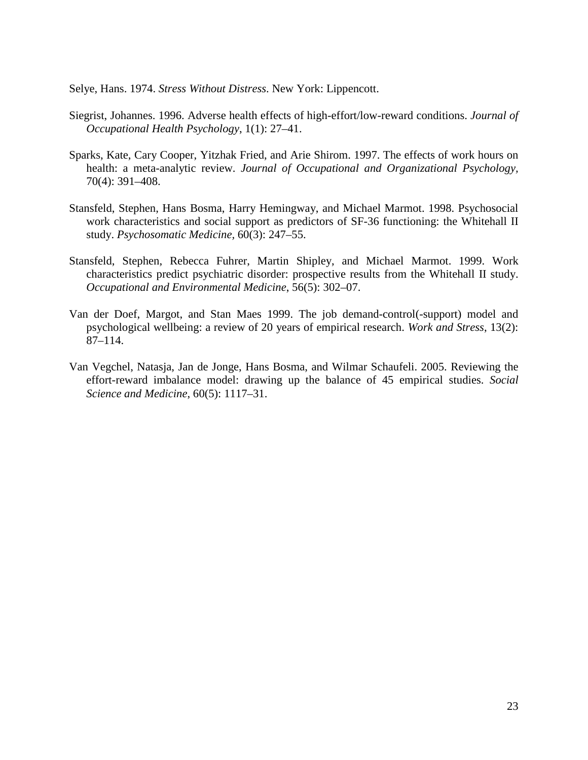Selye, Hans. 1974. *Stress Without Distress*. New York: Lippencott.

- Siegrist, Johannes. 1996. Adverse health effects of high-effort/low-reward conditions. *Journal of Occupational Health Psychology*, 1(1): 27–41.
- Sparks, Kate, Cary Cooper, Yitzhak Fried, and Arie Shirom. 1997. The effects of work hours on health: a meta-analytic review. *Journal of Occupational and Organizational Psychology,*  70(4): 391–408.
- Stansfeld, Stephen, Hans Bosma, Harry Hemingway, and Michael Marmot. 1998. Psychosocial work characteristics and social support as predictors of SF-36 functioning: the Whitehall II study. *Psychosomatic Medicine,* 60(3): 247–55.
- Stansfeld, Stephen, Rebecca Fuhrer, Martin Shipley, and Michael Marmot. 1999. Work characteristics predict psychiatric disorder: prospective results from the Whitehall II study. *Occupational and Environmental Medicine*, 56(5): 302–07.
- Van der Doef, Margot, and Stan Maes 1999. The job demand-control(-support) model and psychological wellbeing: a review of 20 years of empirical research. *Work and Stress*, 13(2): 87–114.
- Van Vegchel, Natasja, Jan de Jonge, Hans Bosma, and Wilmar Schaufeli. 2005. Reviewing the effort-reward imbalance model: drawing up the balance of 45 empirical studies. *Social Science and Medicine*, 60(5): 1117–31.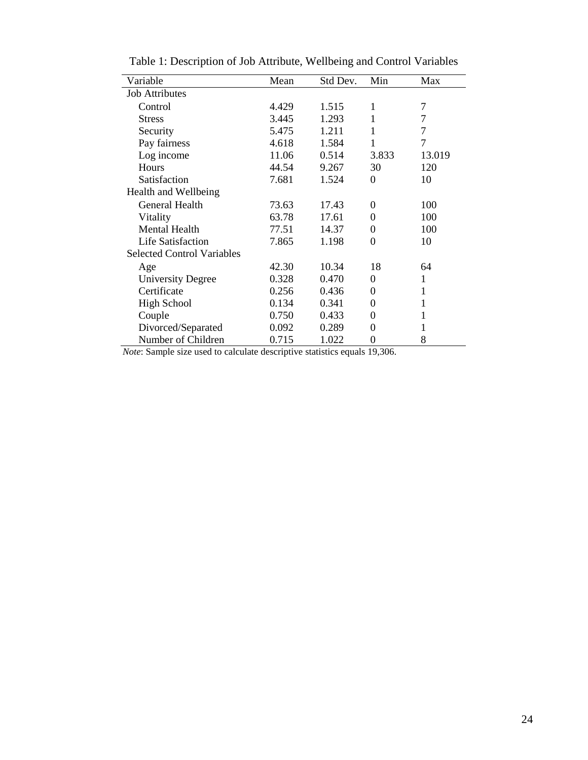| Variable                          | Mean  | Std Dev. | Min      | Max            |
|-----------------------------------|-------|----------|----------|----------------|
| <b>Job Attributes</b>             |       |          |          |                |
| Control                           | 4.429 | 1.515    | 1        | 7              |
| <b>Stress</b>                     | 3.445 | 1.293    | 1        | 7              |
| Security                          | 5.475 | 1.211    | 1        | $\overline{7}$ |
| Pay fairness                      | 4.618 | 1.584    | 1        | $\overline{7}$ |
| Log income                        | 11.06 | 0.514    | 3.833    | 13.019         |
| Hours                             | 44.54 | 9.267    | 30       | 120            |
| Satisfaction                      | 7.681 | 1.524    | $\theta$ | 10             |
| Health and Wellbeing              |       |          |          |                |
| General Health                    | 73.63 | 17.43    | 0        | 100            |
| Vitality                          | 63.78 | 17.61    | $\theta$ | 100            |
| <b>Mental Health</b>              | 77.51 | 14.37    | 0        | 100            |
| <b>Life Satisfaction</b>          | 7.865 | 1.198    | $\theta$ | 10             |
| <b>Selected Control Variables</b> |       |          |          |                |
| Age                               | 42.30 | 10.34    | 18       | 64             |
| <b>University Degree</b>          | 0.328 | 0.470    | 0        | 1              |
| Certificate                       | 0.256 | 0.436    | 0        | 1              |
| <b>High School</b>                | 0.134 | 0.341    | 0        | 1              |
| Couple                            | 0.750 | 0.433    | 0        |                |
| Divorced/Separated                | 0.092 | 0.289    | 0        | 1              |
| Number of Children                | 0.715 | 1.022    | 0        | 8              |

Table 1: Description of Job Attribute, Wellbeing and Control Variables

*Note*: Sample size used to calculate descriptive statistics equals 19,306.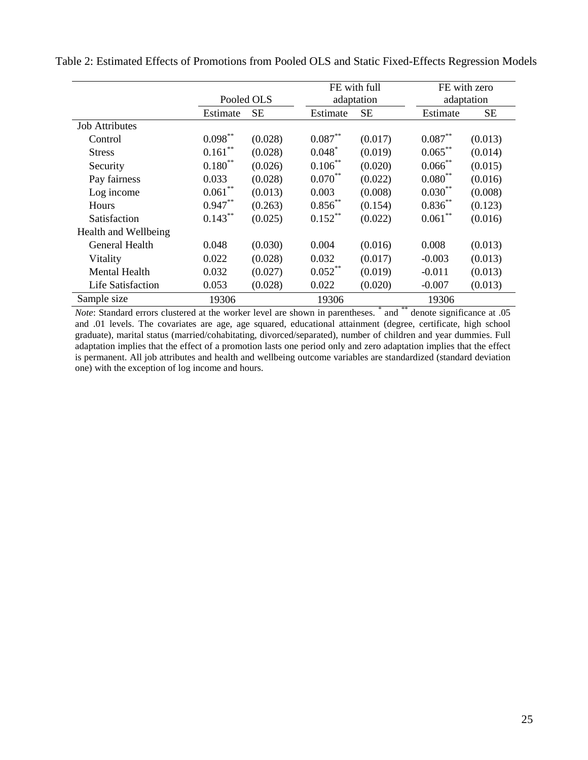|                       |            |           |            | FE with full |            | FE with zero |
|-----------------------|------------|-----------|------------|--------------|------------|--------------|
|                       | Pooled OLS |           |            | adaptation   |            | adaptation   |
|                       | Estimate   | <b>SE</b> | Estimate   | <b>SE</b>    | Estimate   | <b>SE</b>    |
| <b>Job Attributes</b> |            |           |            |              |            |              |
| Control               | $0.098***$ | (0.028)   | $0.087***$ | (0.017)      | $0.087**$  | (0.013)      |
| <b>Stress</b>         | $0.161***$ | (0.028)   | $0.048^*$  | (0.019)      | $0.065***$ | (0.014)      |
| Security              | $0.180**$  | (0.026)   | $0.106***$ | (0.020)      | $0.066$ ** | (0.015)      |
| Pay fairness          | 0.033      | (0.028)   | $0.070***$ | (0.022)      | $0.080**$  | (0.016)      |
| Log income            | $0.061***$ | (0.013)   | 0.003      | (0.008)      | $0.030***$ | (0.008)      |
| Hours                 | $0.947**$  | (0.263)   | $0.856***$ | (0.154)      | $0.836**$  | (0.123)      |
| Satisfaction          | $0.143***$ | (0.025)   | $0.152$ ** | (0.022)      | $0.061***$ | (0.016)      |
| Health and Wellbeing  |            |           |            |              |            |              |
| General Health        | 0.048      | (0.030)   | 0.004      | (0.016)      | 0.008      | (0.013)      |
| Vitality              | 0.022      | (0.028)   | 0.032      | (0.017)      | $-0.003$   | (0.013)      |
| <b>Mental Health</b>  | 0.032      | (0.027)   | $0.052$ ** | (0.019)      | $-0.011$   | (0.013)      |
| Life Satisfaction     | 0.053      | (0.028)   | 0.022      | (0.020)      | $-0.007$   | (0.013)      |
| Sample size           | 19306      |           | 19306      |              | 19306      |              |

Table 2: Estimated Effects of Promotions from Pooled OLS and Static Fixed-Effects Regression Models

*Note*: Standard errors clustered at the worker level are shown in parentheses. <sup>\*</sup> and <sup>\*\*</sup> denote significance at .05 and .01 levels. The covariates are age, age squared, educational attainment (degree, certificate, high school graduate), marital status (married/cohabitating, divorced/separated), number of children and year dummies. Full adaptation implies that the effect of a promotion lasts one period only and zero adaptation implies that the effect is permanent. All job attributes and health and wellbeing outcome variables are standardized (standard deviation one) with the exception of log income and hours.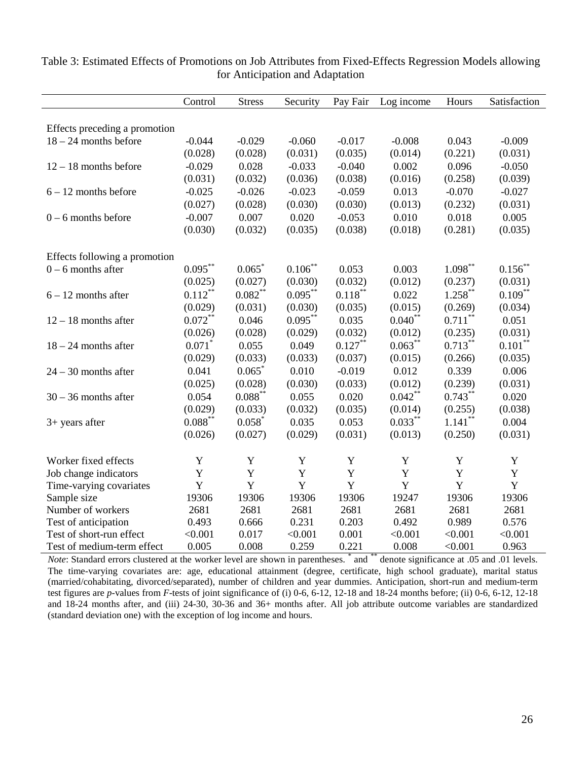|                               | Control     | <b>Stress</b> |              |            |            | Hours      | Satisfaction |
|-------------------------------|-------------|---------------|--------------|------------|------------|------------|--------------|
|                               |             |               | Security     | Pay Fair   | Log income |            |              |
|                               |             |               |              |            |            |            |              |
| Effects preceding a promotion |             |               |              |            |            |            |              |
| $18 - 24$ months before       | $-0.044$    | $-0.029$      | $-0.060$     | $-0.017$   | $-0.008$   | 0.043      | $-0.009$     |
|                               | (0.028)     | (0.028)       | (0.031)      | (0.035)    | (0.014)    | (0.221)    | (0.031)      |
| $12 - 18$ months before       | $-0.029$    | 0.028         | $-0.033$     | $-0.040$   | 0.002      | 0.096      | $-0.050$     |
|                               | (0.031)     | (0.032)       | (0.036)      | (0.038)    | (0.016)    | (0.258)    | (0.039)      |
| $6 - 12$ months before        | $-0.025$    | $-0.026$      | $-0.023$     | $-0.059$   | 0.013      | $-0.070$   | $-0.027$     |
|                               | (0.027)     | (0.028)       | (0.030)      | (0.030)    | (0.013)    | (0.232)    | (0.031)      |
| $0 - 6$ months before         | $-0.007$    | 0.007         | 0.020        | $-0.053$   | 0.010      | 0.018      | 0.005        |
|                               | (0.030)     | (0.032)       | (0.035)      | (0.038)    | (0.018)    | (0.281)    | (0.035)      |
|                               |             |               |              |            |            |            |              |
| Effects following a promotion |             |               |              |            |            |            |              |
| $0 - 6$ months after          | $0.095***$  | 0.065         | $0.106^{**}$ | 0.053      | 0.003      | $1.098***$ | $0.156$ **   |
|                               | (0.025)     | (0.027)       | (0.030)      | (0.032)    | (0.012)    | (0.237)    | (0.031)      |
| $6 - 12$ months after         | $0.112***$  | $0.082***$    | $0.095***$   | $0.118***$ | 0.022      | $1.258***$ | $0.109***$   |
|                               | (0.029)     | (0.031)       | (0.030)      | (0.035)    | (0.015)    | (0.269)    | (0.034)      |
| $12 - 18$ months after        | $0.072***$  | 0.046         | $0.095***$   | 0.035      | $0.040**$  | $0.711***$ | 0.051        |
|                               | (0.026)     | (0.028)       | (0.029)      | (0.032)    | (0.012)    | (0.235)    | (0.031)      |
| $18 - 24$ months after        | 0.071       | 0.055         | 0.049        | $0.127***$ | $0.063***$ | $0.713***$ | $0.101***$   |
|                               | (0.029)     | (0.033)       | (0.033)      | (0.037)    | (0.015)    | (0.266)    | (0.035)      |
| $24 - 30$ months after        | 0.041       | 0.065         | 0.010        | $-0.019$   | 0.012      | 0.339      | 0.006        |
|                               | (0.025)     | (0.028)       | (0.030)      | (0.033)    | (0.012)    | (0.239)    | (0.031)      |
| $30 - 36$ months after        | 0.054       | $0.088***$    | 0.055        | 0.020      | $0.042***$ | $0.743***$ | 0.020        |
|                               | (0.029)     | (0.033)       | (0.032)      | (0.035)    | (0.014)    | (0.255)    | (0.038)      |
| $3+$ years after              | $0.088***$  | $0.058*$      | 0.035        | 0.053      | $0.033***$ | $1.141***$ | 0.004        |
|                               | (0.026)     | (0.027)       | (0.029)      | (0.031)    | (0.013)    | (0.250)    | (0.031)      |
|                               |             |               |              |            |            |            |              |
| Worker fixed effects          | $\mathbf Y$ | Y             | Y            | Y          | Y          | Y          | $\mathbf Y$  |
| Job change indicators         | Y           | Y             | Y            | Y          | Y          | Y          | Y            |
| Time-varying covariates       | Y           | Y             | $\mathbf Y$  | Y          | Y          | Y          | Y            |
| Sample size                   | 19306       | 19306         | 19306        | 19306      | 19247      | 19306      | 19306        |
| Number of workers             | 2681        | 2681          | 2681         | 2681       | 2681       | 2681       | 2681         |
| Test of anticipation          | 0.493       | 0.666         | 0.231        | 0.203      | 0.492      | 0.989      | 0.576        |
| Test of short-run effect      | < 0.001     | 0.017         | < 0.001      | 0.001      | < 0.001    | < 0.001    | < 0.001      |
| Test of medium-term effect    | 0.005       | 0.008         | 0.259        | 0.221      | 0.008      | < 0.001    | 0.963        |

| Table 3: Estimated Effects of Promotions on Job Attributes from Fixed-Effects Regression Models allowing |                                 |  |
|----------------------------------------------------------------------------------------------------------|---------------------------------|--|
|                                                                                                          | for Anticipation and Adaptation |  |

*Note*: Standard errors clustered at the worker level are shown in parentheses. \* and \*\* denote significance at .05 and .01 levels. The time-varying covariates are: age, educational attainment (degree, certificate, high school graduate), marital status (married/cohabitating, divorced/separated), number of children and year dummies. Anticipation, short-run and medium-term test figures are *p*-values from *F*-tests of joint significance of (i) 0-6, 6-12, 12-18 and 18-24 months before; (ii) 0-6, 6-12, 12-18 and 18-24 months after, and (iii) 24-30, 30-36 and 36+ months after. All job attribute outcome variables are standardized (standard deviation one) with the exception of log income and hours.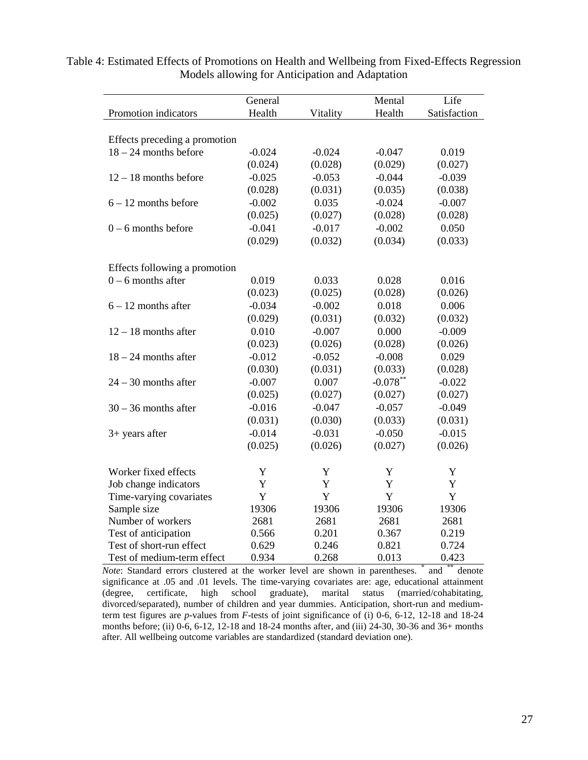|                               | General  |          | Mental      | Life         |  |  |  |  |
|-------------------------------|----------|----------|-------------|--------------|--|--|--|--|
| Promotion indicators          | Health   | Vitality | Health      | Satisfaction |  |  |  |  |
|                               |          |          |             |              |  |  |  |  |
| Effects preceding a promotion |          |          |             |              |  |  |  |  |
| $18 - 24$ months before       | $-0.024$ | $-0.024$ | $-0.047$    | 0.019        |  |  |  |  |
|                               | (0.024)  | (0.028)  | (0.029)     | (0.027)      |  |  |  |  |
| $12 - 18$ months before       | $-0.025$ | $-0.053$ | $-0.044$    | $-0.039$     |  |  |  |  |
|                               |          |          |             |              |  |  |  |  |
|                               | (0.028)  | (0.031)  | (0.035)     | (0.038)      |  |  |  |  |
| $6 - 12$ months before        | $-0.002$ | 0.035    | $-0.024$    | $-0.007$     |  |  |  |  |
|                               | (0.025)  | (0.027)  | (0.028)     | (0.028)      |  |  |  |  |
| $0 - 6$ months before         | $-0.041$ | $-0.017$ | $-0.002$    | 0.050        |  |  |  |  |
|                               | (0.029)  | (0.032)  | (0.034)     | (0.033)      |  |  |  |  |
|                               |          |          |             |              |  |  |  |  |
| Effects following a promotion |          |          |             |              |  |  |  |  |
| $0 - 6$ months after          | 0.019    | 0.033    | 0.028       | 0.016        |  |  |  |  |
|                               | (0.023)  | (0.025)  | (0.028)     | (0.026)      |  |  |  |  |
| $6 - 12$ months after         | $-0.034$ | $-0.002$ | 0.018       | 0.006        |  |  |  |  |
|                               | (0.029)  | (0.031)  | (0.032)     | (0.032)      |  |  |  |  |
| $12 - 18$ months after        | 0.010    | $-0.007$ | 0.000       | $-0.009$     |  |  |  |  |
|                               | (0.023)  | (0.026)  | (0.028)     | (0.026)      |  |  |  |  |
| $18 - 24$ months after        | $-0.012$ | $-0.052$ | $-0.008$    | 0.029        |  |  |  |  |
|                               | (0.030)  | (0.031)  | (0.033)     | (0.028)      |  |  |  |  |
| $24 - 30$ months after        | $-0.007$ | 0.007    | $-0.078***$ | $-0.022$     |  |  |  |  |
|                               | (0.025)  | (0.027)  | (0.027)     | (0.027)      |  |  |  |  |
| $30 - 36$ months after        | $-0.016$ | $-0.047$ | $-0.057$    | $-0.049$     |  |  |  |  |
|                               | (0.031)  | (0.030)  | (0.033)     | (0.031)      |  |  |  |  |
| $3+$ years after              | $-0.014$ | $-0.031$ | $-0.050$    | $-0.015$     |  |  |  |  |
|                               | (0.025)  | (0.026)  | (0.027)     | (0.026)      |  |  |  |  |
|                               |          |          |             |              |  |  |  |  |
| Worker fixed effects          | Y        | Y        | Y           | Y            |  |  |  |  |
| Job change indicators         | Y        | Y        | Y           | Y            |  |  |  |  |
| Time-varying covariates       | Y        | Y        | Y           | Y            |  |  |  |  |
| Sample size                   | 19306    | 19306    | 19306       | 19306        |  |  |  |  |
| Number of workers             | 2681     | 2681     | 2681        | 2681         |  |  |  |  |
| Test of anticipation          | 0.566    | 0.201    | 0.367       | 0.219        |  |  |  |  |
| Test of short-run effect      | 0.629    | 0.246    | 0.821       | 0.724        |  |  |  |  |
| Test of medium-term effect    | 0.934    | 0.268    | 0.013       | 0.423        |  |  |  |  |

Table 4: Estimated Effects of Promotions on Health and Wellbeing from Fixed-Effects Regression Models allowing for Anticipation and Adaptation

*Note*: Standard errors clustered at the worker level are shown in parentheses. \* and \*\* denote significance at .05 and .01 levels. The time-varying covariates are: age, educational attainment (degree, certificate, high school graduate), marital status (married/cohabitating,  $(\text{degree}, \text{certificance}, \text{high school})$ divorced/separated), number of children and year dummies. Anticipation, short-run and mediumterm test figures are *p*-values from *F*-tests of joint significance of (i) 0-6, 6-12, 12-18 and 18-24 months before; (ii) 0-6, 6-12, 12-18 and 18-24 months after, and (iii) 24-30, 30-36 and 36+ months after. All wellbeing outcome variables are standardized (standard deviation one).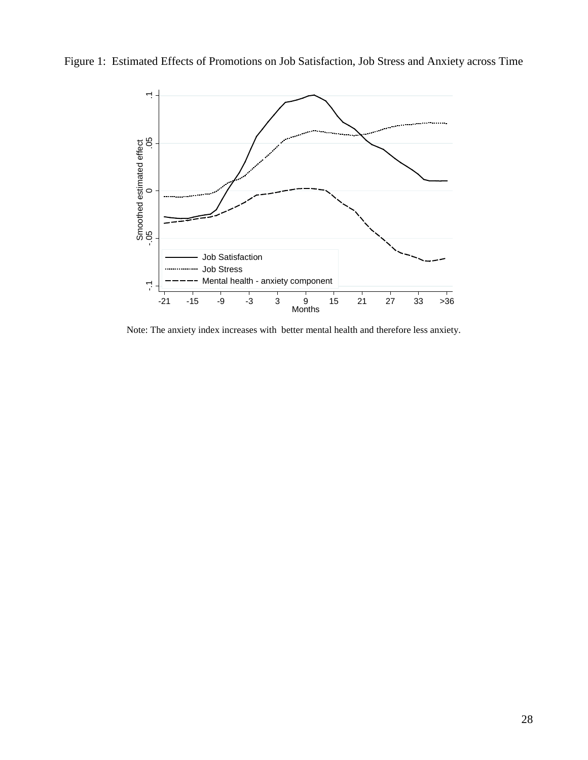